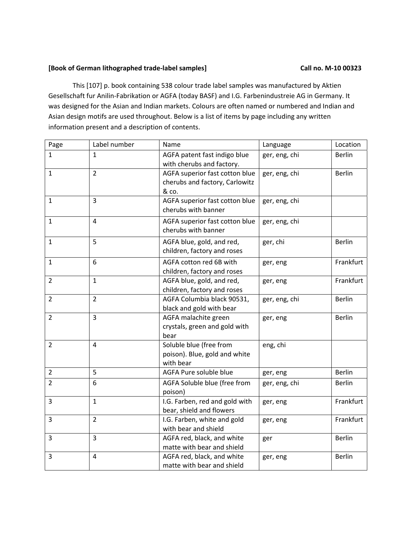## **[Book of German lithographed trade‐label samples] Call no. M‐10 00323**

This [107] p. book containing 538 colour trade label samples was manufactured by Aktien Gesellschaft fur Anilin‐Fabrikation or AGFA (today BASF) and I.G. Farbenindustreie AG in Germany. It was designed for the Asian and Indian markets. Colours are often named or numbered and Indian and Asian design motifs are used throughout. Below is a list of items by page including any written information present and a description of contents.

| Page           | Label number   | Name                                                                      | Language      | Location      |
|----------------|----------------|---------------------------------------------------------------------------|---------------|---------------|
| $\mathbf{1}$   | $\mathbf{1}$   | AGFA patent fast indigo blue<br>with cherubs and factory.                 | ger, eng, chi | <b>Berlin</b> |
| $\mathbf{1}$   | $\overline{2}$ | AGFA superior fast cotton blue<br>cherubs and factory, Carlowitz<br>& co. | ger, eng, chi | <b>Berlin</b> |
| $\mathbf{1}$   | $\overline{3}$ | AGFA superior fast cotton blue<br>cherubs with banner                     | ger, eng, chi |               |
| $\mathbf{1}$   | $\overline{4}$ | AGFA superior fast cotton blue<br>cherubs with banner                     | ger, eng, chi |               |
| $\mathbf{1}$   | 5              | AGFA blue, gold, and red,<br>children, factory and roses                  | ger, chi      | <b>Berlin</b> |
| $\mathbf{1}$   | 6              | AGFA cotton red 6B with<br>children, factory and roses                    | ger, eng      | Frankfurt     |
| $\overline{2}$ | $\mathbf{1}$   | AGFA blue, gold, and red,<br>children, factory and roses                  | ger, eng      | Frankfurt     |
| $\overline{2}$ | $\overline{2}$ | AGFA Columbia black 90531,<br>black and gold with bear                    | ger, eng, chi | <b>Berlin</b> |
| $\overline{2}$ | $\overline{3}$ | AGFA malachite green<br>crystals, green and gold with<br>bear             | ger, eng      | <b>Berlin</b> |
| $\overline{2}$ | $\overline{4}$ | Soluble blue (free from<br>poison). Blue, gold and white<br>with bear     | eng, chi      |               |
| $\overline{2}$ | 5              | AGFA Pure soluble blue                                                    | ger, eng      | <b>Berlin</b> |
| $\overline{2}$ | 6              | AGFA Soluble blue (free from<br>poison)                                   | ger, eng, chi | <b>Berlin</b> |
| 3              | $\mathbf{1}$   | I.G. Farben, red and gold with<br>bear, shield and flowers                | ger, eng      | Frankfurt     |
| 3              | $\overline{2}$ | I.G. Farben, white and gold<br>with bear and shield                       | ger, eng      | Frankfurt     |
| 3              | $\overline{3}$ | AGFA red, black, and white<br>matte with bear and shield                  | ger           | <b>Berlin</b> |
| 3              | $\overline{4}$ | AGFA red, black, and white<br>matte with bear and shield                  | ger, eng      | <b>Berlin</b> |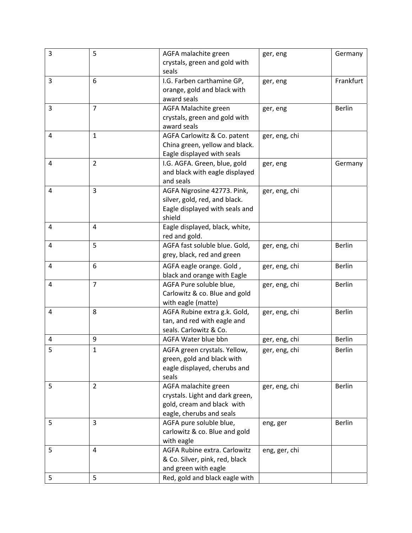| 3 | 5              | AGFA malachite green            | ger, eng      | Germany       |
|---|----------------|---------------------------------|---------------|---------------|
|   |                | crystals, green and gold with   |               |               |
|   |                | seals                           |               |               |
| 3 | 6              | I.G. Farben carthamine GP,      | ger, eng      | Frankfurt     |
|   |                | orange, gold and black with     |               |               |
|   |                | award seals                     |               |               |
| 3 | $\overline{7}$ | AGFA Malachite green            | ger, eng      | Berlin        |
|   |                | crystals, green and gold with   |               |               |
|   |                | award seals                     |               |               |
| 4 | $\mathbf{1}$   | AGFA Carlowitz & Co. patent     | ger, eng, chi |               |
|   |                | China green, yellow and black.  |               |               |
|   |                | Eagle displayed with seals      |               |               |
| 4 | $\overline{2}$ | I.G. AGFA. Green, blue, gold    | ger, eng      | Germany       |
|   |                | and black with eagle displayed  |               |               |
|   |                | and seals                       |               |               |
| 4 | $\overline{3}$ | AGFA Nigrosine 42773. Pink,     | ger, eng, chi |               |
|   |                | silver, gold, red, and black.   |               |               |
|   |                | Eagle displayed with seals and  |               |               |
|   |                | shield                          |               |               |
| 4 | 4              | Eagle displayed, black, white,  |               |               |
|   |                | red and gold.                   |               |               |
| 4 | 5              | AGFA fast soluble blue. Gold,   | ger, eng, chi | <b>Berlin</b> |
|   |                | grey, black, red and green      |               |               |
| 4 | 6              | AGFA eagle orange. Gold,        | ger, eng, chi | <b>Berlin</b> |
|   |                | black and orange with Eagle     |               |               |
| 4 | $\overline{7}$ | AGFA Pure soluble blue,         | ger, eng, chi | <b>Berlin</b> |
|   |                | Carlowitz & co. Blue and gold   |               |               |
|   |                | with eagle (matte)              |               |               |
| 4 | 8              | AGFA Rubine extra g.k. Gold,    | ger, eng, chi | <b>Berlin</b> |
|   |                | tan, and red with eagle and     |               |               |
|   |                | seals. Carlowitz & Co.          |               |               |
| 4 | 9              | AGFA Water blue bbn             | ger, eng, chi | <b>Berlin</b> |
| 5 | $\mathbf{1}$   | AGFA green crystals. Yellow,    | ger, eng, chi | <b>Berlin</b> |
|   |                | green, gold and black with      |               |               |
|   |                | eagle displayed, cherubs and    |               |               |
|   |                | seals                           |               |               |
| 5 | $\overline{2}$ | AGFA malachite green            |               | <b>Berlin</b> |
|   |                |                                 | ger, eng, chi |               |
|   |                | crystals. Light and dark green, |               |               |
|   |                | gold, cream and black with      |               |               |
|   | 3              | eagle, cherubs and seals        |               |               |
| 5 |                | AGFA pure soluble blue,         | eng, ger      | Berlin        |
|   |                | carlowitz & co. Blue and gold   |               |               |
|   |                | with eagle                      |               |               |
| 5 | 4              | AGFA Rubine extra. Carlowitz    | eng, ger, chi |               |
|   |                | & Co. Silver, pink, red, black  |               |               |
|   |                | and green with eagle            |               |               |
| 5 | 5              | Red, gold and black eagle with  |               |               |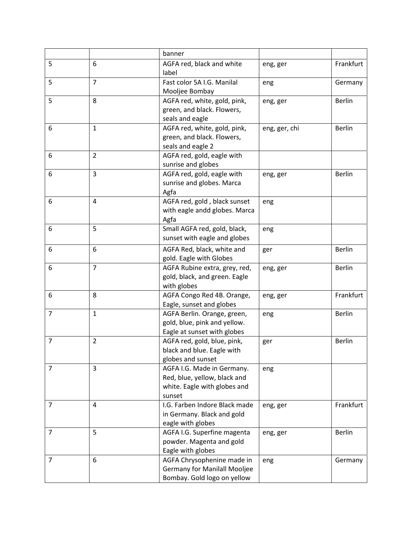|                |                | banner                                                                                               |               |               |
|----------------|----------------|------------------------------------------------------------------------------------------------------|---------------|---------------|
| 5              | 6              | AGFA red, black and white<br>label                                                                   | eng, ger      | Frankfurt     |
| 5              | $\overline{7}$ | Fast color 5A I.G. Manilal<br>Mooljee Bombay                                                         | eng           | Germany       |
| 5              | 8              | AGFA red, white, gold, pink,<br>green, and black. Flowers,<br>seals and eagle                        | eng, ger      | <b>Berlin</b> |
| 6              | $\mathbf{1}$   | AGFA red, white, gold, pink,<br>green, and black. Flowers,<br>seals and eagle 2                      | eng, ger, chi | <b>Berlin</b> |
| 6              | $\overline{2}$ | AGFA red, gold, eagle with<br>sunrise and globes                                                     |               |               |
| 6              | $\overline{3}$ | AGFA red, gold, eagle with<br>sunrise and globes. Marca<br>Agfa                                      | eng, ger      | <b>Berlin</b> |
| 6              | 4              | AGFA red, gold, black sunset<br>with eagle andd globes. Marca<br>Agfa                                | eng           |               |
| 6              | 5              | Small AGFA red, gold, black,<br>sunset with eagle and globes                                         | eng           |               |
| 6              | 6              | AGFA Red, black, white and<br>gold. Eagle with Globes                                                | ger           | <b>Berlin</b> |
| 6              | $\overline{7}$ | AGFA Rubine extra, grey, red,<br>gold, black, and green. Eagle<br>with globes                        | eng, ger      | <b>Berlin</b> |
| 6              | 8              | AGFA Congo Red 4B. Orange,<br>Eagle, sunset and globes                                               | eng, ger      | Frankfurt     |
| $\overline{7}$ | $\mathbf{1}$   | AGFA Berlin. Orange, green,<br>gold, blue, pink and yellow.<br>Eagle at sunset with globes           | eng           | <b>Berlin</b> |
| $\overline{7}$ | $\overline{2}$ | AGFA red, gold, blue, pink,<br>black and blue. Eagle with<br>globes and sunset                       | ger           | <b>Berlin</b> |
| $\overline{7}$ | 3              | AGFA I.G. Made in Germany.<br>Red, blue, yellow, black and<br>white. Eagle with globes and<br>sunset | eng           |               |
| $\overline{7}$ | 4              | I.G. Farben Indore Black made<br>in Germany. Black and gold<br>eagle with globes                     | eng, ger      | Frankfurt     |
| $\overline{7}$ | 5              | AGFA I.G. Superfine magenta<br>powder. Magenta and gold<br>Eagle with globes                         | eng, ger      | Berlin        |
| $\overline{7}$ | 6              | AGFA Chrysophenine made in<br><b>Germany for Manilall Mooljee</b><br>Bombay. Gold logo on yellow     | eng           | Germany       |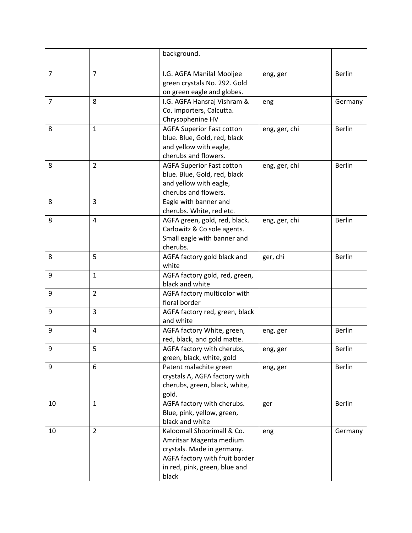|                |                | background.                                                                                                                                                     |               |               |
|----------------|----------------|-----------------------------------------------------------------------------------------------------------------------------------------------------------------|---------------|---------------|
| $\overline{7}$ | $\overline{7}$ | I.G. AGFA Manilal Mooljee<br>green crystals No. 292. Gold                                                                                                       | eng, ger      | <b>Berlin</b> |
| $\overline{7}$ | 8              | on green eagle and globes.<br>I.G. AGFA Hansraj Vishram &<br>Co. importers, Calcutta.<br>Chrysophenine HV                                                       | eng           | Germany       |
| 8              | $\mathbf{1}$   | <b>AGFA Superior Fast cotton</b><br>blue. Blue, Gold, red, black<br>and yellow with eagle,<br>cherubs and flowers.                                              | eng, ger, chi | <b>Berlin</b> |
| 8              | $\overline{2}$ | <b>AGFA Superior Fast cotton</b><br>blue. Blue, Gold, red, black<br>and yellow with eagle,<br>cherubs and flowers.                                              | eng, ger, chi | <b>Berlin</b> |
| 8              | 3              | Eagle with banner and<br>cherubs. White, red etc.                                                                                                               |               |               |
| 8              | $\overline{4}$ | AGFA green, gold, red, black.<br>Carlowitz & Co sole agents.<br>Small eagle with banner and<br>cherubs.                                                         | eng, ger, chi | <b>Berlin</b> |
| 8              | 5              | AGFA factory gold black and<br>white                                                                                                                            | ger, chi      | <b>Berlin</b> |
| 9              | $\mathbf{1}$   | AGFA factory gold, red, green,<br>black and white                                                                                                               |               |               |
| 9              | $\overline{2}$ | AGFA factory multicolor with<br>floral border                                                                                                                   |               |               |
| 9              | 3              | AGFA factory red, green, black<br>and white                                                                                                                     |               |               |
| 9              | $\overline{4}$ | AGFA factory White, green,<br>red, black, and gold matte.                                                                                                       | eng, ger      | <b>Berlin</b> |
| q              | 5              | AGFA factory with cherubs,<br>green, black, white, gold                                                                                                         | eng, ger      | <b>Berlin</b> |
| 9              | 6              | Patent malachite green<br>crystals A, AGFA factory with<br>cherubs, green, black, white,<br>gold.                                                               | eng, ger      | <b>Berlin</b> |
| 10             | $\mathbf{1}$   | AGFA factory with cherubs.<br>Blue, pink, yellow, green,<br>black and white                                                                                     | ger           | Berlin        |
| 10             | $\overline{2}$ | Kaloomall Shoorimall & Co.<br>Amritsar Magenta medium<br>crystals. Made in germany.<br>AGFA factory with fruit border<br>in red, pink, green, blue and<br>black | eng           | Germany       |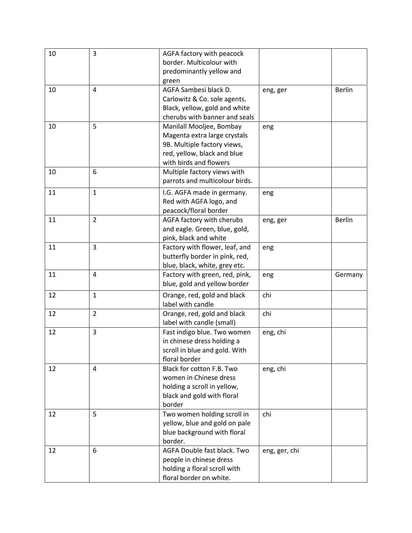| 10 | 3              | AGFA factory with peacock<br>border. Multicolour with |               |               |
|----|----------------|-------------------------------------------------------|---------------|---------------|
|    |                |                                                       |               |               |
|    |                | predominantly yellow and                              |               |               |
|    |                | green                                                 |               |               |
| 10 | 4              | AGFA Sambesi black D.                                 | eng, ger      | <b>Berlin</b> |
|    |                | Carlowitz & Co. sole agents.                          |               |               |
|    |                | Black, yellow, gold and white                         |               |               |
|    |                | cherubs with banner and seals                         |               |               |
| 10 | 5              | Manilall Mooljee, Bombay                              | eng           |               |
|    |                | Magenta extra large crystals                          |               |               |
|    |                | 9B. Multiple factory views,                           |               |               |
|    |                | red, yellow, black and blue                           |               |               |
|    |                | with birds and flowers                                |               |               |
| 10 | 6              | Multiple factory views with                           |               |               |
|    |                | parrots and multicolour birds.                        |               |               |
| 11 | $\mathbf{1}$   | I.G. AGFA made in germany.                            | eng           |               |
|    |                | Red with AGFA logo, and                               |               |               |
|    |                | peacock/floral border                                 |               |               |
| 11 | $\overline{2}$ | AGFA factory with cherubs                             | eng, ger      | <b>Berlin</b> |
|    |                | and eagle. Green, blue, gold,                         |               |               |
|    |                | pink, black and white                                 |               |               |
| 11 | $\overline{3}$ | Factory with flower, leaf, and                        | eng           |               |
|    |                | butterfly border in pink, red,                        |               |               |
|    |                | blue, black, white, grey etc.                         |               |               |
| 11 | 4              | Factory with green, red, pink,                        |               |               |
|    |                | blue, gold and yellow border                          | eng           | Germany       |
|    |                |                                                       |               |               |
| 12 | $\mathbf{1}$   | Orange, red, gold and black                           | chi           |               |
|    |                | label with candle                                     |               |               |
| 12 | $\overline{2}$ | Orange, red, gold and black                           | chi           |               |
|    |                | label with candle (small)                             |               |               |
| 12 | $\overline{3}$ | Fast indigo blue. Two women                           | eng, chi      |               |
|    |                | in chinese dress holding a                            |               |               |
|    |                | scroll in blue and gold. With                         |               |               |
|    |                | floral border                                         |               |               |
| 12 | 4              | Black for cotton F.B. Two                             | eng, chi      |               |
|    |                | women in Chinese dress                                |               |               |
|    |                | holding a scroll in yellow,                           |               |               |
|    |                | black and gold with floral                            |               |               |
|    |                | border                                                |               |               |
| 12 | 5              | Two women holding scroll in                           | chi           |               |
|    |                | yellow, blue and gold on pale                         |               |               |
|    |                | blue background with floral                           |               |               |
|    |                | border.                                               |               |               |
| 12 | 6              | AGFA Double fast black. Two                           | eng, ger, chi |               |
|    |                | people in chinese dress                               |               |               |
|    |                | holding a floral scroll with                          |               |               |
|    |                | floral border on white.                               |               |               |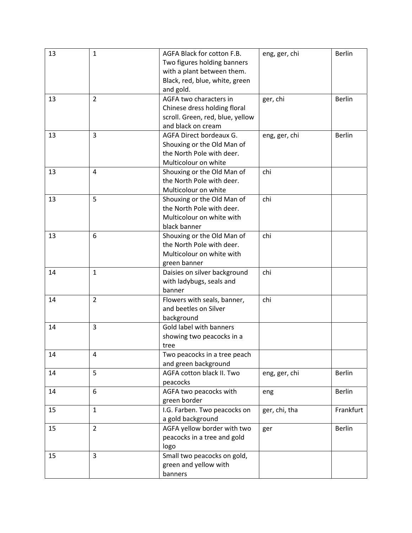| 13 | $\mathbf{1}$   | AGFA Black for cotton F.B.                              | eng, ger, chi | <b>Berlin</b> |
|----|----------------|---------------------------------------------------------|---------------|---------------|
|    |                | Two figures holding banners                             |               |               |
|    |                | with a plant between them.                              |               |               |
|    |                | Black, red, blue, white, green                          |               |               |
|    |                | and gold.                                               |               |               |
| 13 | $\overline{2}$ | AGFA two characters in                                  | ger, chi      | <b>Berlin</b> |
|    |                | Chinese dress holding floral                            |               |               |
|    |                | scroll. Green, red, blue, yellow                        |               |               |
|    |                | and black on cream                                      |               |               |
| 13 | 3              | AGFA Direct bordeaux G.                                 | eng, ger, chi | <b>Berlin</b> |
|    |                | Shouxing or the Old Man of                              |               |               |
|    |                | the North Pole with deer.                               |               |               |
|    |                | Multicolour on white                                    |               |               |
| 13 | 4              |                                                         | chi           |               |
|    |                | Shouxing or the Old Man of<br>the North Pole with deer. |               |               |
|    |                |                                                         |               |               |
|    |                | Multicolour on white                                    |               |               |
| 13 | 5              | Shouxing or the Old Man of                              | chi           |               |
|    |                | the North Pole with deer.                               |               |               |
|    |                | Multicolour on white with                               |               |               |
|    |                | black banner                                            |               |               |
| 13 | 6              | Shouxing or the Old Man of                              | chi           |               |
|    |                | the North Pole with deer.                               |               |               |
|    |                | Multicolour on white with                               |               |               |
|    |                | green banner                                            |               |               |
| 14 | $\mathbf{1}$   | Daisies on silver background                            | chi           |               |
|    |                | with ladybugs, seals and                                |               |               |
|    |                | banner                                                  |               |               |
| 14 | $\overline{2}$ | Flowers with seals, banner,                             | chi           |               |
|    |                | and beetles on Silver                                   |               |               |
|    |                | background                                              |               |               |
| 14 | 3              | Gold label with banners                                 |               |               |
|    |                | showing two peacocks in a                               |               |               |
|    |                | tree                                                    |               |               |
| 14 | 4              | Two peacocks in a tree peach                            |               |               |
|    |                | and green background                                    |               |               |
| 14 | 5              | AGFA cotton black II. Two                               | eng, ger, chi | <b>Berlin</b> |
|    |                | peacocks                                                |               |               |
| 14 | 6              | AGFA two peacocks with                                  | eng           | <b>Berlin</b> |
|    |                | green border                                            |               |               |
| 15 | $\mathbf{1}$   | I.G. Farben. Two peacocks on                            | ger, chi, tha | Frankfurt     |
|    |                | a gold background                                       |               |               |
| 15 | $\overline{2}$ | AGFA yellow border with two                             | ger           | Berlin        |
|    |                | peacocks in a tree and gold                             |               |               |
|    |                | logo                                                    |               |               |
| 15 | $\overline{3}$ | Small two peacocks on gold,                             |               |               |
|    |                | green and yellow with                                   |               |               |
|    |                |                                                         |               |               |
|    |                | banners                                                 |               |               |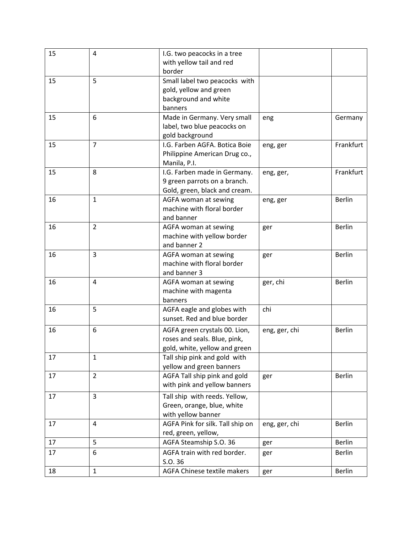| 15 | 4              | I.G. two peacocks in a tree      |               |               |
|----|----------------|----------------------------------|---------------|---------------|
|    |                | with yellow tail and red         |               |               |
|    |                | border                           |               |               |
| 15 | 5              | Small label two peacocks with    |               |               |
|    |                | gold, yellow and green           |               |               |
|    |                | background and white             |               |               |
|    |                | banners                          |               |               |
| 15 | 6              | Made in Germany. Very small      | eng           | Germany       |
|    |                | label, two blue peacocks on      |               |               |
|    |                | gold background                  |               |               |
| 15 | $\overline{7}$ | I.G. Farben AGFA. Botica Boie    | eng, ger      | Frankfurt     |
|    |                | Philippine American Drug co.,    |               |               |
|    |                | Manila, P.I.                     |               |               |
| 15 | 8              | I.G. Farben made in Germany.     | eng, ger,     | Frankfurt     |
|    |                | 9 green parrots on a branch.     |               |               |
|    |                | Gold, green, black and cream.    |               |               |
| 16 | $\mathbf{1}$   | AGFA woman at sewing             | eng, ger      | Berlin        |
|    |                | machine with floral border       |               |               |
|    |                | and banner                       |               |               |
| 16 | $\overline{2}$ | AGFA woman at sewing             | ger           | <b>Berlin</b> |
|    |                | machine with yellow border       |               |               |
|    |                | and banner 2                     |               |               |
| 16 | $\overline{3}$ | AGFA woman at sewing             | ger           | <b>Berlin</b> |
|    |                | machine with floral border       |               |               |
|    |                | and banner 3                     |               |               |
| 16 | 4              | AGFA woman at sewing             | ger, chi      | <b>Berlin</b> |
|    |                | machine with magenta             |               |               |
|    |                | banners                          |               |               |
| 16 | 5              | AGFA eagle and globes with       | chi           |               |
|    |                | sunset. Red and blue border      |               |               |
| 16 | 6              | AGFA green crystals 00. Lion,    | eng, ger, chi | <b>Berlin</b> |
|    |                | roses and seals. Blue, pink,     |               |               |
|    |                | gold, white, yellow and green    |               |               |
| 17 | $\mathbf{1}$   | Tall ship pink and gold with     |               |               |
|    |                | yellow and green banners         |               |               |
| 17 | $\overline{2}$ | AGFA Tall ship pink and gold     | ger           | <b>Berlin</b> |
|    |                | with pink and yellow banners     |               |               |
| 17 | $\overline{3}$ | Tall ship with reeds. Yellow,    |               |               |
|    |                | Green, orange, blue, white       |               |               |
|    |                | with yellow banner               |               |               |
| 17 | 4              | AGFA Pink for silk. Tall ship on | eng, ger, chi | <b>Berlin</b> |
|    |                | red, green, yellow,              |               |               |
| 17 | 5              | AGFA Steamship S.O. 36           | ger           | <b>Berlin</b> |
|    |                |                                  |               |               |
| 17 | 6              | AGFA train with red border.      | ger           | <b>Berlin</b> |
|    |                | S.O. 36                          |               |               |
| 18 | $\mathbf{1}$   | AGFA Chinese textile makers      | ger           | <b>Berlin</b> |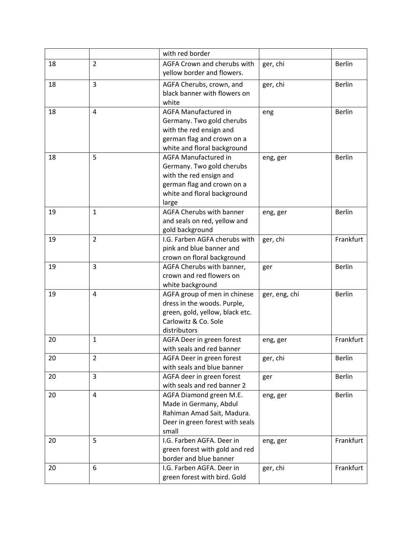|    |                | with red border                                                                                                                                           |               |               |
|----|----------------|-----------------------------------------------------------------------------------------------------------------------------------------------------------|---------------|---------------|
| 18 | $\overline{2}$ | AGFA Crown and cherubs with<br>yellow border and flowers.                                                                                                 | ger, chi      | <b>Berlin</b> |
| 18 | 3              | AGFA Cherubs, crown, and<br>black banner with flowers on<br>white                                                                                         | ger, chi      | <b>Berlin</b> |
| 18 | 4              | <b>AGFA Manufactured in</b><br>Germany. Two gold cherubs<br>with the red ensign and<br>german flag and crown on a<br>white and floral background          | eng           | <b>Berlin</b> |
| 18 | 5              | <b>AGFA Manufactured in</b><br>Germany. Two gold cherubs<br>with the red ensign and<br>german flag and crown on a<br>white and floral background<br>large | eng, ger      | <b>Berlin</b> |
| 19 | $\mathbf{1}$   | AGFA Cherubs with banner<br>and seals on red, yellow and<br>gold background                                                                               | eng, ger      | <b>Berlin</b> |
| 19 | $\overline{2}$ | I.G. Farben AGFA cherubs with<br>pink and blue banner and<br>crown on floral background                                                                   | ger, chi      | Frankfurt     |
| 19 | 3              | AGFA Cherubs with banner,<br>crown and red flowers on<br>white background                                                                                 | ger           | <b>Berlin</b> |
| 19 | $\overline{4}$ | AGFA group of men in chinese<br>dress in the woods. Purple,<br>green, gold, yellow, black etc.<br>Carlowitz & Co. Sole<br>distributors                    | ger, eng, chi | <b>Berlin</b> |
| 20 | $\mathbf{1}$   | AGFA Deer in green forest<br>with seals and red banner                                                                                                    | eng, ger      | Frankfurt     |
| 20 | $\overline{2}$ | AGFA Deer in green forest<br>with seals and blue banner                                                                                                   | ger, chi      | <b>Berlin</b> |
| 20 | 3              | AGFA deer in green forest<br>with seals and red banner 2                                                                                                  | ger           | <b>Berlin</b> |
| 20 | $\overline{4}$ | AGFA Diamond green M.E.<br>Made in Germany, Abdul<br>Rahiman Amad Sait, Madura.<br>Deer in green forest with seals<br>small                               | eng, ger      | Berlin        |
| 20 | 5              | I.G. Farben AGFA. Deer in<br>green forest with gold and red<br>border and blue banner                                                                     | eng, ger      | Frankfurt     |
| 20 | 6              | I.G. Farben AGFA. Deer in<br>green forest with bird. Gold                                                                                                 | ger, chi      | Frankfurt     |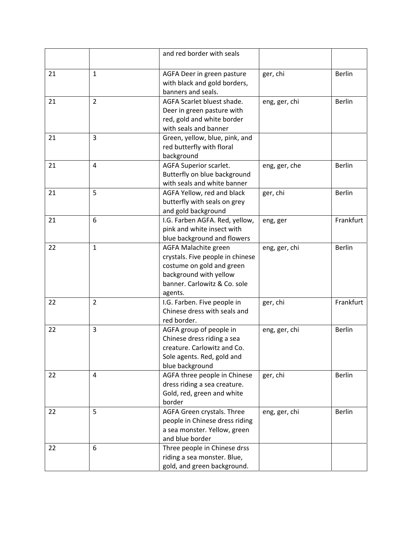|    |                | and red border with seals                                                                                                                                  |               |               |
|----|----------------|------------------------------------------------------------------------------------------------------------------------------------------------------------|---------------|---------------|
| 21 | $\mathbf{1}$   | AGFA Deer in green pasture<br>with black and gold borders,<br>banners and seals.                                                                           | ger, chi      | <b>Berlin</b> |
| 21 | $\overline{2}$ | AGFA Scarlet bluest shade.<br>Deer in green pasture with<br>red, gold and white border<br>with seals and banner                                            | eng, ger, chi | <b>Berlin</b> |
| 21 | 3              | Green, yellow, blue, pink, and<br>red butterfly with floral<br>background                                                                                  |               |               |
| 21 | 4              | AGFA Superior scarlet.<br>Butterfly on blue background<br>with seals and white banner                                                                      | eng, ger, che | Berlin        |
| 21 | 5              | AGFA Yellow, red and black<br>butterfly with seals on grey<br>and gold background                                                                          | ger, chi      | <b>Berlin</b> |
| 21 | 6              | I.G. Farben AGFA. Red, yellow,<br>pink and white insect with<br>blue background and flowers                                                                | eng, ger      | Frankfurt     |
| 22 | $\mathbf{1}$   | AGFA Malachite green<br>crystals. Five people in chinese<br>costume on gold and green<br>background with yellow<br>banner. Carlowitz & Co. sole<br>agents. | eng, ger, chi | <b>Berlin</b> |
| 22 | $\overline{2}$ | I.G. Farben. Five people in<br>Chinese dress with seals and<br>red border.                                                                                 | ger, chi      | Frankfurt     |
| 22 | 3              | AGFA group of people in<br>Chinese dress riding a sea<br>creature. Carlowitz and Co.<br>Sole agents. Red, gold and<br>blue background                      | eng, ger, chi | <b>Berlin</b> |
| 22 | 4              | AGFA three people in Chinese<br>dress riding a sea creature.<br>Gold, red, green and white<br>border                                                       | ger, chi      | Berlin        |
| 22 | 5              | AGFA Green crystals. Three<br>people in Chinese dress riding<br>a sea monster. Yellow, green<br>and blue border                                            | eng, ger, chi | Berlin        |
| 22 | 6              | Three people in Chinese drss<br>riding a sea monster. Blue,<br>gold, and green background.                                                                 |               |               |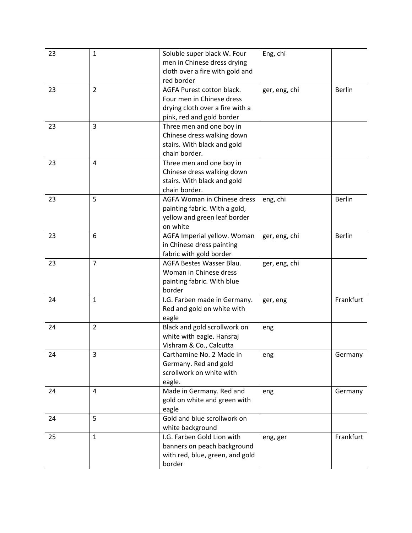| 23 | $\mathbf{1}$   | Soluble super black W. Four     | Eng, chi      |               |
|----|----------------|---------------------------------|---------------|---------------|
|    |                | men in Chinese dress drying     |               |               |
|    |                | cloth over a fire with gold and |               |               |
|    |                | red border                      |               |               |
| 23 | $\overline{2}$ | AGFA Purest cotton black.       | ger, eng, chi | <b>Berlin</b> |
|    |                | Four men in Chinese dress       |               |               |
|    |                | drying cloth over a fire with a |               |               |
|    |                | pink, red and gold border       |               |               |
| 23 | 3              | Three men and one boy in        |               |               |
|    |                | Chinese dress walking down      |               |               |
|    |                | stairs. With black and gold     |               |               |
|    |                | chain border.                   |               |               |
| 23 | 4              | Three men and one boy in        |               |               |
|    |                | Chinese dress walking down      |               |               |
|    |                | stairs. With black and gold     |               |               |
|    |                | chain border.                   |               |               |
| 23 | 5              | AGFA Woman in Chinese dress     | eng, chi      | <b>Berlin</b> |
|    |                | painting fabric. With a gold,   |               |               |
|    |                | yellow and green leaf border    |               |               |
|    |                | on white                        |               |               |
| 23 | 6              | AGFA Imperial yellow. Woman     | ger, eng, chi | <b>Berlin</b> |
|    |                | in Chinese dress painting       |               |               |
|    |                | fabric with gold border         |               |               |
| 23 | $\overline{7}$ | AGFA Bestes Wasser Blau.        | ger, eng, chi |               |
|    |                | Woman in Chinese dress          |               |               |
|    |                | painting fabric. With blue      |               |               |
|    |                | border                          |               |               |
| 24 | $\mathbf{1}$   | I.G. Farben made in Germany.    | ger, eng      | Frankfurt     |
|    |                | Red and gold on white with      |               |               |
|    |                | eagle                           |               |               |
| 24 | $\overline{2}$ | Black and gold scrollwork on    | eng           |               |
|    |                | white with eagle. Hansraj       |               |               |
|    |                | Vishram & Co., Calcutta         |               |               |
| 24 | 3              | Carthamine No. 2 Made in        | eng           | Germany       |
|    |                | Germany. Red and gold           |               |               |
|    |                | scrollwork on white with        |               |               |
|    |                | eagle.                          |               |               |
| 24 | 4              | Made in Germany. Red and        | eng           | Germany       |
|    |                | gold on white and green with    |               |               |
|    |                | eagle                           |               |               |
| 24 | 5              | Gold and blue scrollwork on     |               |               |
|    |                | white background                |               |               |
| 25 | $\mathbf{1}$   | I.G. Farben Gold Lion with      | eng, ger      | Frankfurt     |
|    |                | banners on peach background     |               |               |
|    |                | with red, blue, green, and gold |               |               |
|    |                | border                          |               |               |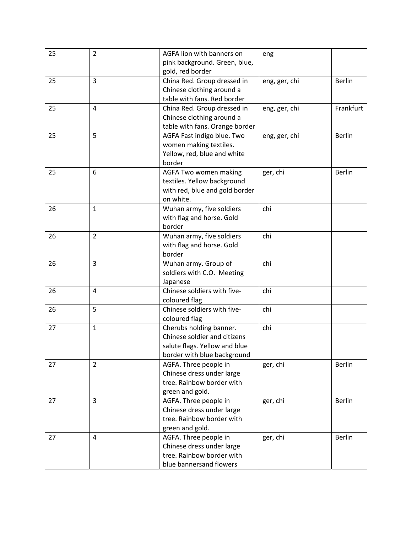| 25 | $\overline{2}$ | AGFA lion with banners on      | eng           |               |
|----|----------------|--------------------------------|---------------|---------------|
|    |                | pink background. Green, blue,  |               |               |
|    |                | gold, red border               |               |               |
| 25 | 3              | China Red. Group dressed in    | eng, ger, chi | <b>Berlin</b> |
|    |                | Chinese clothing around a      |               |               |
|    |                | table with fans. Red border    |               |               |
| 25 | 4              | China Red. Group dressed in    | eng, ger, chi | Frankfurt     |
|    |                | Chinese clothing around a      |               |               |
|    |                | table with fans. Orange border |               |               |
| 25 | 5              | AGFA Fast indigo blue. Two     | eng, ger, chi | <b>Berlin</b> |
|    |                | women making textiles.         |               |               |
|    |                | Yellow, red, blue and white    |               |               |
|    |                | border                         |               |               |
| 25 | 6              | AGFA Two women making          | ger, chi      | <b>Berlin</b> |
|    |                | textiles. Yellow background    |               |               |
|    |                | with red, blue and gold border |               |               |
|    |                | on white.                      |               |               |
| 26 | $\mathbf{1}$   | Wuhan army, five soldiers      | chi           |               |
|    |                | with flag and horse. Gold      |               |               |
|    |                | border                         |               |               |
| 26 | $\overline{2}$ | Wuhan army, five soldiers      | chi           |               |
|    |                | with flag and horse. Gold      |               |               |
|    |                | border                         |               |               |
| 26 | 3              | Wuhan army. Group of           | chi           |               |
|    |                | soldiers with C.O. Meeting     |               |               |
|    |                | Japanese                       |               |               |
| 26 | 4              | Chinese soldiers with five-    | chi           |               |
|    |                | coloured flag                  |               |               |
| 26 | 5              | Chinese soldiers with five-    | chi           |               |
|    |                | coloured flag                  |               |               |
| 27 | $\mathbf{1}$   | Cherubs holding banner.        | chi           |               |
|    |                | Chinese soldier and citizens   |               |               |
|    |                | salute flags. Yellow and blue  |               |               |
|    |                | border with blue background    |               |               |
| 27 | $\overline{2}$ | AGFA. Three people in          | ger, chi      | <b>Berlin</b> |
|    |                | Chinese dress under large      |               |               |
|    |                | tree. Rainbow border with      |               |               |
|    |                | green and gold.                |               |               |
| 27 | 3              | AGFA. Three people in          | ger, chi      | <b>Berlin</b> |
|    |                | Chinese dress under large      |               |               |
|    |                | tree. Rainbow border with      |               |               |
|    |                | green and gold.                |               |               |
| 27 | 4              | AGFA. Three people in          | ger, chi      | <b>Berlin</b> |
|    |                | Chinese dress under large      |               |               |
|    |                | tree. Rainbow border with      |               |               |
|    |                | blue bannersand flowers        |               |               |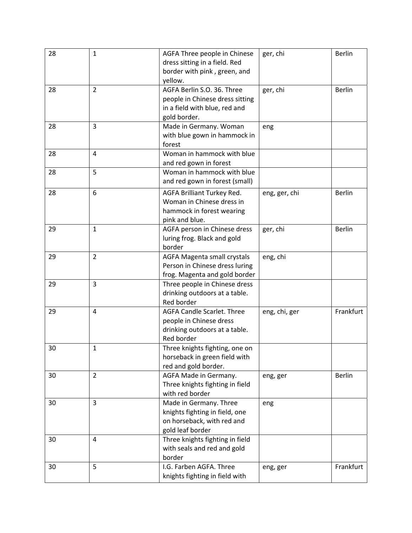| 28 | $\mathbf{1}$   | AGFA Three people in Chinese<br>dress sitting in a field. Red<br>border with pink, green, and<br>yellow.       | ger, chi      | <b>Berlin</b> |
|----|----------------|----------------------------------------------------------------------------------------------------------------|---------------|---------------|
| 28 | $\overline{2}$ | AGFA Berlin S.O. 36. Three<br>people in Chinese dress sitting<br>in a field with blue, red and<br>gold border. | ger, chi      | <b>Berlin</b> |
| 28 | 3              | Made in Germany. Woman<br>with blue gown in hammock in<br>forest                                               | eng           |               |
| 28 | 4              | Woman in hammock with blue<br>and red gown in forest                                                           |               |               |
| 28 | 5              | Woman in hammock with blue<br>and red gown in forest (small)                                                   |               |               |
| 28 | 6              | AGFA Brilliant Turkey Red.<br>Woman in Chinese dress in<br>hammock in forest wearing<br>pink and blue.         | eng, ger, chi | <b>Berlin</b> |
| 29 | $\mathbf{1}$   | AGFA person in Chinese dress<br>luring frog. Black and gold<br>border                                          | ger, chi      | <b>Berlin</b> |
| 29 | $\overline{2}$ | <b>AGFA Magenta small crystals</b><br>Person in Chinese dress luring<br>frog. Magenta and gold border          | eng, chi      |               |
| 29 | 3              | Three people in Chinese dress<br>drinking outdoors at a table.<br>Red border                                   |               |               |
| 29 | 4              | <b>AGFA Candle Scarlet. Three</b><br>people in Chinese dress<br>drinking outdoors at a table.<br>Red border    | eng, chi, ger | Frankfurt     |
| 30 | 1              | Three knights fighting, one on<br>horseback in green field with<br>red and gold border.                        |               |               |
| 30 | $\overline{2}$ | AGFA Made in Germany.<br>Three knights fighting in field<br>with red border                                    | eng, ger      | <b>Berlin</b> |
| 30 | 3              | Made in Germany. Three<br>knights fighting in field, one<br>on horseback, with red and<br>gold leaf border     | eng           |               |
| 30 | 4              | Three knights fighting in field<br>with seals and red and gold<br>border                                       |               |               |
| 30 | 5              | I.G. Farben AGFA. Three<br>knights fighting in field with                                                      | eng, ger      | Frankfurt     |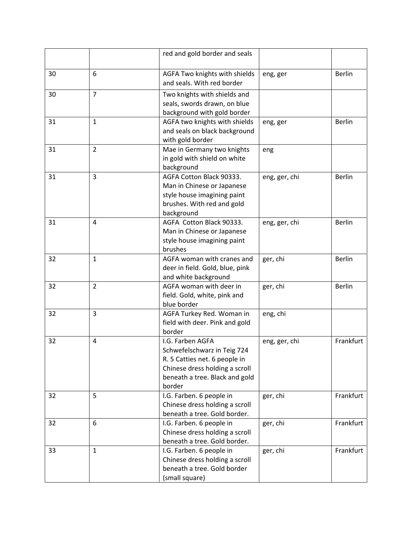|    |                | red and gold border and seals                                                                                                                                  |               |               |
|----|----------------|----------------------------------------------------------------------------------------------------------------------------------------------------------------|---------------|---------------|
| 30 | 6              | AGFA Two knights with shields<br>and seals. With red border                                                                                                    | eng, ger      | <b>Berlin</b> |
| 30 | $\overline{7}$ | Two knights with shields and<br>seals, swords drawn, on blue<br>background with gold border                                                                    |               |               |
| 31 | $\mathbf{1}$   | AGFA two knights with shields<br>and seals on black background<br>with gold border                                                                             | eng, ger      | <b>Berlin</b> |
| 31 | $\overline{2}$ | Mae in Germany two knights<br>in gold with shield on white<br>background                                                                                       | eng           |               |
| 31 | 3              | AGFA Cotton Black 90333.<br>Man in Chinese or Japanese<br>style house imagining paint<br>brushes. With red and gold<br>background                              | eng, ger, chi | <b>Berlin</b> |
| 31 | 4              | AGFA Cotton Black 90333.<br>Man in Chinese or Japanese<br>style house imagining paint<br>brushes                                                               | eng, ger, chi | <b>Berlin</b> |
| 32 | $\mathbf{1}$   | AGFA woman with cranes and<br>deer in field. Gold, blue, pink<br>and white background                                                                          | ger, chi      | <b>Berlin</b> |
| 32 | $\overline{2}$ | AGFA woman with deer in<br>field. Gold, white, pink and<br>blue border                                                                                         | ger, chi      | <b>Berlin</b> |
| 32 | 3              | AGFA Turkey Red. Woman in<br>field with deer. Pink and gold<br>border                                                                                          | eng, chi      |               |
| 32 | 4              | I.G. Farben AGFA<br>Schwefelschwarz in Teig 724<br>R. 5 Catties net. 6 people in<br>Chinese dress holding a scroll<br>beneath a tree. Black and gold<br>border | eng, ger, chi | Frankfurt     |
| 32 | 5              | I.G. Farben. 6 people in<br>Chinese dress holding a scroll<br>beneath a tree. Gold border.                                                                     | ger, chi      | Frankfurt     |
| 32 | 6              | I.G. Farben. 6 people in<br>Chinese dress holding a scroll<br>beneath a tree. Gold border.                                                                     | ger, chi      | Frankfurt     |
| 33 | $\mathbf{1}$   | I.G. Farben. 6 people in<br>Chinese dress holding a scroll<br>beneath a tree. Gold border<br>(small square)                                                    | ger, chi      | Frankfurt     |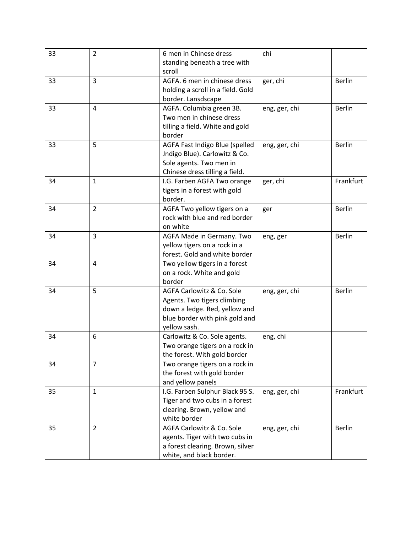| 33 | $\overline{2}$ | 6 men in Chinese dress            | chi           |               |
|----|----------------|-----------------------------------|---------------|---------------|
|    |                | standing beneath a tree with      |               |               |
|    |                | scroll                            |               |               |
| 33 | $\overline{3}$ | AGFA. 6 men in chinese dress      | ger, chi      | <b>Berlin</b> |
|    |                | holding a scroll in a field. Gold |               |               |
|    |                | border. Lansdscape                |               |               |
| 33 | $\overline{4}$ | AGFA. Columbia green 3B.          | eng, ger, chi | <b>Berlin</b> |
|    |                | Two men in chinese dress          |               |               |
|    |                | tilling a field. White and gold   |               |               |
|    |                | border                            |               |               |
| 33 | 5              | AGFA Fast Indigo Blue (spelled    | eng, ger, chi | <b>Berlin</b> |
|    |                | Jndigo Blue). Carlowitz & Co.     |               |               |
|    |                | Sole agents. Two men in           |               |               |
|    |                | Chinese dress tilling a field.    |               |               |
| 34 | $\mathbf{1}$   | I.G. Farben AGFA Two orange       | ger, chi      | Frankfurt     |
|    |                | tigers in a forest with gold      |               |               |
|    |                | border.                           |               |               |
| 34 | $\overline{2}$ | AGFA Two yellow tigers on a       | ger           | <b>Berlin</b> |
|    |                | rock with blue and red border     |               |               |
|    |                | on white                          |               |               |
| 34 | 3              | AGFA Made in Germany. Two         | eng, ger      | <b>Berlin</b> |
|    |                | yellow tigers on a rock in a      |               |               |
|    |                | forest. Gold and white border     |               |               |
| 34 | 4              | Two yellow tigers in a forest     |               |               |
|    |                | on a rock. White and gold         |               |               |
|    |                | border                            |               |               |
| 34 | 5              | AGFA Carlowitz & Co. Sole         | eng, ger, chi | <b>Berlin</b> |
|    |                | Agents. Two tigers climbing       |               |               |
|    |                | down a ledge. Red, yellow and     |               |               |
|    |                | blue border with pink gold and    |               |               |
|    |                | yellow sash.                      |               |               |
| 34 | 6              | Carlowitz & Co. Sole agents.      | eng, chi      |               |
|    |                | Two orange tigers on a rock in    |               |               |
|    |                | the forest. With gold border      |               |               |
| 34 | $\overline{7}$ | Two orange tigers on a rock in    |               |               |
|    |                | the forest with gold border       |               |               |
|    |                | and yellow panels                 |               |               |
| 35 | $\mathbf{1}$   | I.G. Farben Sulphur Black 95 S.   | eng, ger, chi | Frankfurt     |
|    |                | Tiger and two cubs in a forest    |               |               |
|    |                | clearing. Brown, yellow and       |               |               |
|    |                | white border                      |               |               |
| 35 | $\overline{2}$ | AGFA Carlowitz & Co. Sole         | eng, ger, chi | <b>Berlin</b> |
|    |                | agents. Tiger with two cubs in    |               |               |
|    |                | a forest clearing. Brown, silver  |               |               |
|    |                | white, and black border.          |               |               |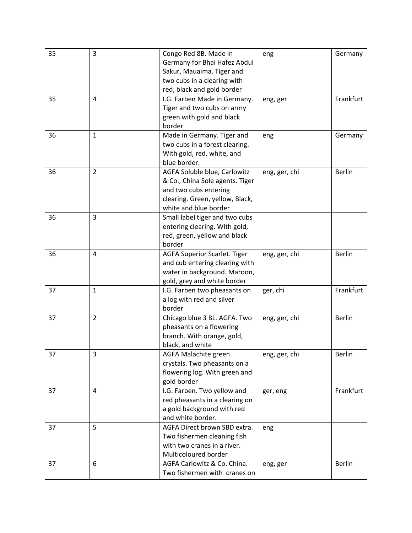| 35 | 3              | Congo Red 8B. Made in           | eng           | Germany       |
|----|----------------|---------------------------------|---------------|---------------|
|    |                | Germany for Bhai Hafez Abdul    |               |               |
|    |                | Sakur, Mauaima. Tiger and       |               |               |
|    |                | two cubs in a clearing with     |               |               |
|    |                | red, black and gold border      |               |               |
| 35 | 4              | I.G. Farben Made in Germany.    | eng, ger      | Frankfurt     |
|    |                | Tiger and two cubs on army      |               |               |
|    |                | green with gold and black       |               |               |
|    |                | border                          |               |               |
| 36 | $\mathbf{1}$   | Made in Germany. Tiger and      | eng           | Germany       |
|    |                | two cubs in a forest clearing.  |               |               |
|    |                | With gold, red, white, and      |               |               |
|    |                | blue border.                    |               |               |
| 36 | $\overline{2}$ |                                 |               | <b>Berlin</b> |
|    |                | AGFA Soluble blue, Carlowitz    | eng, ger, chi |               |
|    |                | & Co., China Sole agents. Tiger |               |               |
|    |                | and two cubs entering           |               |               |
|    |                | clearing. Green, yellow, Black, |               |               |
|    |                | white and blue border           |               |               |
| 36 | 3              | Small label tiger and two cubs  |               |               |
|    |                | entering clearing. With gold,   |               |               |
|    |                | red, green, yellow and black    |               |               |
|    |                | border                          |               |               |
| 36 | 4              | AGFA Superior Scarlet. Tiger    | eng, ger, chi | <b>Berlin</b> |
|    |                | and cub entering clearing with  |               |               |
|    |                | water in background. Maroon,    |               |               |
|    |                | gold, grey and white border     |               |               |
| 37 | $\mathbf{1}$   | I.G. Farben two pheasants on    | ger, chi      | Frankfurt     |
|    |                | a log with red and silver       |               |               |
|    |                | border                          |               |               |
| 37 | $\overline{2}$ | Chicago blue 3 BL. AGFA. Two    | eng, ger, chi | <b>Berlin</b> |
|    |                | pheasants on a flowering        |               |               |
|    |                | branch. With orange, gold,      |               |               |
|    |                | black, and white                |               |               |
| 37 | 3              | AGFA Malachite green            | eng, ger, chi | <b>Berlin</b> |
|    |                | crystals. Two pheasants on a    |               |               |
|    |                | flowering log. With green and   |               |               |
|    |                | gold border                     |               |               |
| 37 | 4              | I.G. Farben. Two yellow and     | ger, eng      | Frankfurt     |
|    |                | red pheasants in a clearing on  |               |               |
|    |                | a gold background with red      |               |               |
|    |                | and white border.               |               |               |
| 37 | 5              | AGFA Direct brown SBD extra.    |               |               |
|    |                |                                 | eng           |               |
|    |                | Two fishermen cleaning fish     |               |               |
|    |                | with two cranes in a river.     |               |               |
|    |                | Multicoloured border            |               |               |
| 37 | 6              | AGFA Carlowitz & Co. China.     | eng, ger      | Berlin        |
|    |                | Two fishermen with cranes on    |               |               |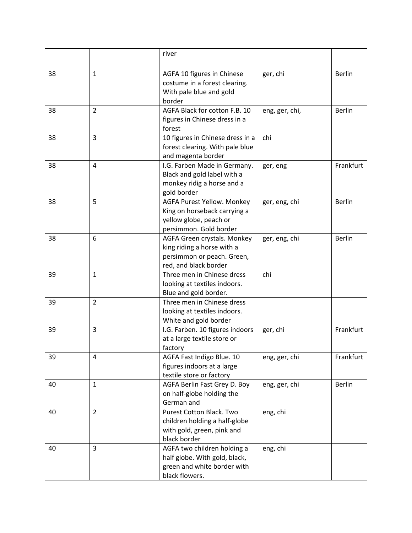|    |                | river                                               |                |               |
|----|----------------|-----------------------------------------------------|----------------|---------------|
|    |                |                                                     |                |               |
| 38 | $\mathbf{1}$   | AGFA 10 figures in Chinese                          | ger, chi       | <b>Berlin</b> |
|    |                | costume in a forest clearing.                       |                |               |
|    |                | With pale blue and gold<br>border                   |                |               |
| 38 | $\overline{2}$ | AGFA Black for cotton F.B. 10                       | eng, ger, chi, | <b>Berlin</b> |
|    |                | figures in Chinese dress in a                       |                |               |
|    |                | forest                                              |                |               |
| 38 | 3              | 10 figures in Chinese dress in a                    | chi            |               |
|    |                | forest clearing. With pale blue                     |                |               |
|    |                | and magenta border                                  |                |               |
| 38 | 4              | I.G. Farben Made in Germany.                        | ger, eng       | Frankfurt     |
|    |                | Black and gold label with a                         |                |               |
|    |                | monkey ridig a horse and a                          |                |               |
|    |                | gold border                                         |                |               |
| 38 | 5              | AGFA Purest Yellow. Monkey                          | ger, eng, chi  | <b>Berlin</b> |
|    |                | King on horseback carrying a                        |                |               |
|    |                | yellow globe, peach or                              |                |               |
|    |                | persimmon. Gold border                              |                |               |
| 38 | 6              | AGFA Green crystals. Monkey                         | ger, eng, chi  | <b>Berlin</b> |
|    |                | king riding a horse with a                          |                |               |
|    |                | persimmon or peach. Green,<br>red, and black border |                |               |
| 39 | $\mathbf{1}$   | Three men in Chinese dress                          | chi            |               |
|    |                | looking at textiles indoors.                        |                |               |
|    |                | Blue and gold border.                               |                |               |
| 39 | $\overline{2}$ | Three men in Chinese dress                          |                |               |
|    |                | looking at textiles indoors.                        |                |               |
|    |                | White and gold border                               |                |               |
| 39 | 3              | I.G. Farben. 10 figures indoors                     | ger, chi       | Frankfurt     |
|    |                | at a large textile store or                         |                |               |
|    |                | factory                                             |                |               |
| 39 | 4              | AGFA Fast Indigo Blue. 10                           | eng, ger, chi  | Frankfurt     |
|    |                | figures indoors at a large                          |                |               |
|    |                | textile store or factory                            |                |               |
| 40 | $\mathbf{1}$   | AGFA Berlin Fast Grey D. Boy                        | eng, ger, chi  | <b>Berlin</b> |
|    |                | on half-globe holding the                           |                |               |
| 40 | $\overline{2}$ | German and<br>Purest Cotton Black. Two              | eng, chi       |               |
|    |                | children holding a half-globe                       |                |               |
|    |                | with gold, green, pink and                          |                |               |
|    |                | black border                                        |                |               |
| 40 | 3              | AGFA two children holding a                         | eng, chi       |               |
|    |                | half globe. With gold, black,                       |                |               |
|    |                | green and white border with                         |                |               |
|    |                | black flowers.                                      |                |               |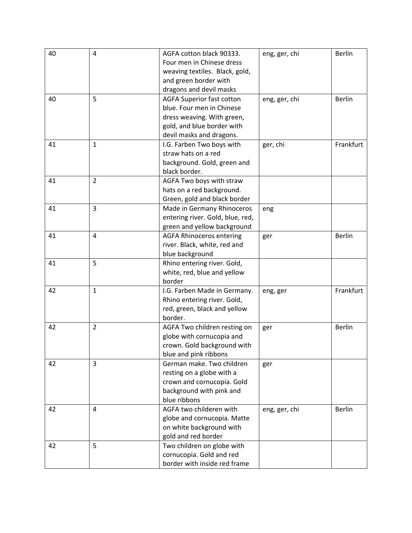| 40 | $\overline{4}$ | AGFA cotton black 90333.         | eng, ger, chi | <b>Berlin</b> |
|----|----------------|----------------------------------|---------------|---------------|
|    |                | Four men in Chinese dress        |               |               |
|    |                | weaving textiles. Black, gold,   |               |               |
|    |                | and green border with            |               |               |
|    |                | dragons and devil masks          |               |               |
| 40 | 5              | <b>AGFA Superior fast cotton</b> | eng, ger, chi | <b>Berlin</b> |
|    |                | blue. Four men in Chinese        |               |               |
|    |                | dress weaving. With green,       |               |               |
|    |                | gold, and blue border with       |               |               |
|    |                | devil masks and dragons.         |               |               |
| 41 | $\mathbf{1}$   | I.G. Farben Two boys with        | ger, chi      | Frankfurt     |
|    |                | straw hats on a red              |               |               |
|    |                | background. Gold, green and      |               |               |
|    |                | black border.                    |               |               |
| 41 | $\overline{2}$ | AGFA Two boys with straw         |               |               |
|    |                | hats on a red background.        |               |               |
|    |                | Green, gold and black border     |               |               |
| 41 | $\overline{3}$ | Made in Germany Rhinoceros       | eng           |               |
|    |                | entering river. Gold, blue, red, |               |               |
|    |                | green and yellow background      |               |               |
| 41 | 4              | <b>AGFA Rhinoceros entering</b>  | ger           | <b>Berlin</b> |
|    |                | river. Black, white, red and     |               |               |
|    |                | blue background                  |               |               |
| 41 | 5              | Rhino entering river. Gold,      |               |               |
|    |                | white, red, blue and yellow      |               |               |
|    |                | border                           |               |               |
| 42 | $\mathbf{1}$   | I.G. Farben Made in Germany.     | eng, ger      | Frankfurt     |
|    |                | Rhino entering river. Gold,      |               |               |
|    |                | red, green, black and yellow     |               |               |
|    |                | border.                          |               |               |
| 42 | $\overline{2}$ | AGFA Two children resting on     | ger           | <b>Berlin</b> |
|    |                | globe with cornucopia and        |               |               |
|    |                | crown. Gold background with      |               |               |
|    |                | blue and pink ribbons            |               |               |
| 42 | 3              | German make. Two children        | ger           |               |
|    |                | resting on a globe with a        |               |               |
|    |                | crown and cornucopia. Gold       |               |               |
|    |                | background with pink and         |               |               |
|    |                | blue ribbons                     |               |               |
| 42 | 4              | AGFA two childeren with          | eng, ger, chi | <b>Berlin</b> |
|    |                | globe and cornucopia. Matte      |               |               |
|    |                | on white background with         |               |               |
|    |                | gold and red border              |               |               |
| 42 | 5              | Two children on globe with       |               |               |
|    |                | cornucopia. Gold and red         |               |               |
|    |                | border with inside red frame     |               |               |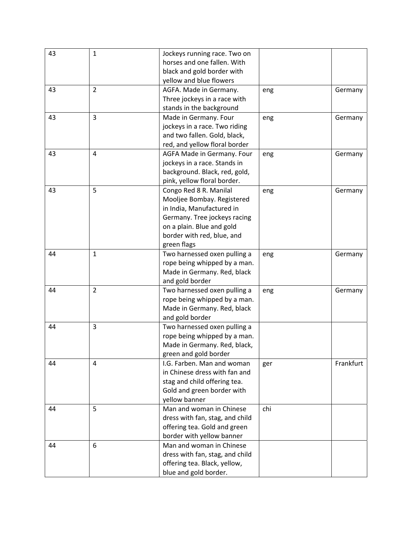| 43 | $\mathbf{1}$   | Jockeys running race. Two on    |     |           |
|----|----------------|---------------------------------|-----|-----------|
|    |                | horses and one fallen. With     |     |           |
|    |                | black and gold border with      |     |           |
|    |                | yellow and blue flowers         |     |           |
| 43 | $\overline{2}$ | AGFA. Made in Germany.          | eng | Germany   |
|    |                | Three jockeys in a race with    |     |           |
|    |                | stands in the background        |     |           |
| 43 | 3              | Made in Germany. Four           | eng | Germany   |
|    |                | jockeys in a race. Two riding   |     |           |
|    |                | and two fallen. Gold, black,    |     |           |
|    |                | red, and yellow floral border   |     |           |
| 43 | 4              | AGFA Made in Germany. Four      | eng | Germany   |
|    |                | jockeys in a race. Stands in    |     |           |
|    |                | background. Black, red, gold,   |     |           |
|    |                | pink, yellow floral border.     |     |           |
| 43 | 5              | Congo Red 8 R. Manilal          | eng | Germany   |
|    |                | Mooljee Bombay. Registered      |     |           |
|    |                | in India, Manufactured in       |     |           |
|    |                | Germany. Tree jockeys racing    |     |           |
|    |                | on a plain. Blue and gold       |     |           |
|    |                | border with red, blue, and      |     |           |
|    |                | green flags                     |     |           |
| 44 | $\mathbf{1}$   | Two harnessed oxen pulling a    | eng | Germany   |
|    |                | rope being whipped by a man.    |     |           |
|    |                | Made in Germany. Red, black     |     |           |
|    |                | and gold border                 |     |           |
| 44 | $\overline{2}$ | Two harnessed oxen pulling a    | eng | Germany   |
|    |                | rope being whipped by a man.    |     |           |
|    |                | Made in Germany. Red, black     |     |           |
|    |                | and gold border                 |     |           |
| 44 | 3              | Two harnessed oxen pulling a    |     |           |
|    |                | rope being whipped by a man.    |     |           |
|    |                | Made in Germany. Red, black,    |     |           |
|    |                | green and gold border           |     |           |
| 44 | 4              | I.G. Farben. Man and woman      | ger | Frankfurt |
|    |                | in Chinese dress with fan and   |     |           |
|    |                | stag and child offering tea.    |     |           |
|    |                | Gold and green border with      |     |           |
|    |                | yellow banner                   |     |           |
| 44 | 5              | Man and woman in Chinese        | chi |           |
|    |                | dress with fan, stag, and child |     |           |
|    |                | offering tea. Gold and green    |     |           |
|    |                | border with yellow banner       |     |           |
| 44 | 6              | Man and woman in Chinese        |     |           |
|    |                | dress with fan, stag, and child |     |           |
|    |                | offering tea. Black, yellow,    |     |           |
|    |                | blue and gold border.           |     |           |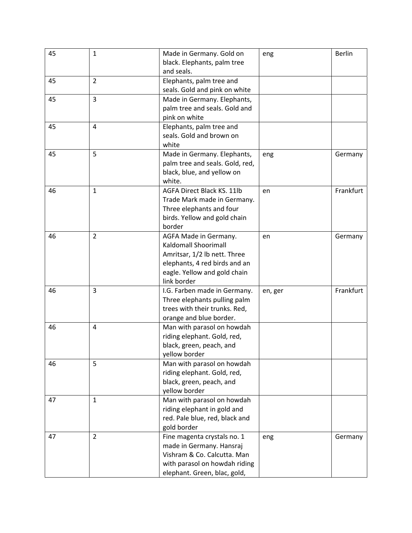| 45 | $\mathbf{1}$   | Made in Germany. Gold on<br>black. Elephants, palm tree<br>and seals.                                                                                         | eng     | <b>Berlin</b> |
|----|----------------|---------------------------------------------------------------------------------------------------------------------------------------------------------------|---------|---------------|
| 45 | $\overline{2}$ | Elephants, palm tree and<br>seals. Gold and pink on white                                                                                                     |         |               |
| 45 | $\overline{3}$ | Made in Germany. Elephants,<br>palm tree and seals. Gold and<br>pink on white                                                                                 |         |               |
| 45 | 4              | Elephants, palm tree and<br>seals. Gold and brown on<br>white                                                                                                 |         |               |
| 45 | 5              | Made in Germany. Elephants,<br>palm tree and seals. Gold, red,<br>black, blue, and yellow on<br>white.                                                        | eng     | Germany       |
| 46 | $\mathbf{1}$   | AGFA Direct Black KS. 11lb<br>Trade Mark made in Germany.<br>Three elephants and four<br>birds. Yellow and gold chain<br>border                               | en      | Frankfurt     |
| 46 | $\overline{2}$ | AGFA Made in Germany.<br>Kaldomall Shoorimall<br>Amritsar, 1/2 lb nett. Three<br>elephants, 4 red birds and an<br>eagle. Yellow and gold chain<br>link border | en      | Germany       |
| 46 | 3              | I.G. Farben made in Germany.<br>Three elephants pulling palm<br>trees with their trunks. Red,<br>orange and blue border.                                      | en, ger | Frankfurt     |
| 46 | 4              | Man with parasol on howdah<br>riding elephant. Gold, red,<br>black, green, peach, and<br>yellow border                                                        |         |               |
| 46 | 5              | Man with parasol on howdah<br>riding elephant. Gold, red,<br>black, green, peach, and<br>yellow border                                                        |         |               |
| 47 | $\mathbf{1}$   | Man with parasol on howdah<br>riding elephant in gold and<br>red. Pale blue, red, black and<br>gold border                                                    |         |               |
| 47 | $\overline{2}$ | Fine magenta crystals no. 1<br>made in Germany. Hansraj<br>Vishram & Co. Calcutta. Man<br>with parasol on howdah riding<br>elephant. Green, blac, gold,       | eng     | Germany       |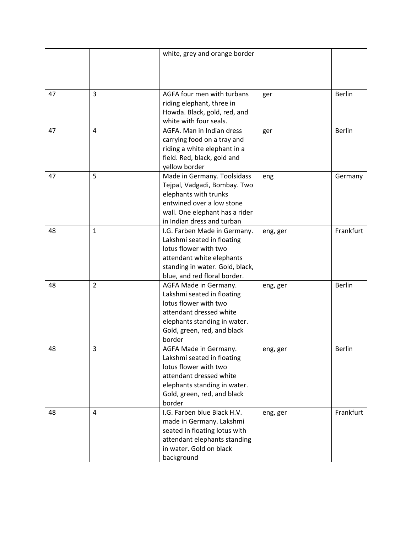|    |                | white, grey and orange border                                                                                                                                                       |          |               |
|----|----------------|-------------------------------------------------------------------------------------------------------------------------------------------------------------------------------------|----------|---------------|
| 47 | 3              | AGFA four men with turbans<br>riding elephant, three in<br>Howda. Black, gold, red, and<br>white with four seals.                                                                   | ger      | <b>Berlin</b> |
| 47 | 4              | AGFA. Man in Indian dress<br>carrying food on a tray and<br>riding a white elephant in a<br>field. Red, black, gold and<br>yellow border                                            | ger      | <b>Berlin</b> |
| 47 | 5              | Made in Germany. Toolsidass<br>Tejpal, Vadgadi, Bombay. Two<br>elephants with trunks<br>entwined over a low stone<br>wall. One elephant has a rider<br>in Indian dress and turban   | eng      | Germany       |
| 48 | $\mathbf{1}$   | I.G. Farben Made in Germany.<br>Lakshmi seated in floating<br>lotus flower with two<br>attendant white elephants<br>standing in water. Gold, black,<br>blue, and red floral border. | eng, ger | Frankfurt     |
| 48 | $\overline{2}$ | AGFA Made in Germany.<br>Lakshmi seated in floating<br>lotus flower with two<br>attendant dressed white<br>elephants standing in water.<br>Gold, green, red, and black<br>border    | eng, ger | <b>Berlin</b> |
| 48 | 3              | AGFA Made in Germany.<br>Lakshmi seated in floating<br>lotus flower with two<br>attendant dressed white<br>elephants standing in water.<br>Gold, green, red, and black<br>border    | eng, ger | <b>Berlin</b> |
| 48 | 4              | I.G. Farben blue Black H.V.<br>made in Germany. Lakshmi<br>seated in floating lotus with<br>attendant elephants standing<br>in water. Gold on black<br>background                   | eng, ger | Frankfurt     |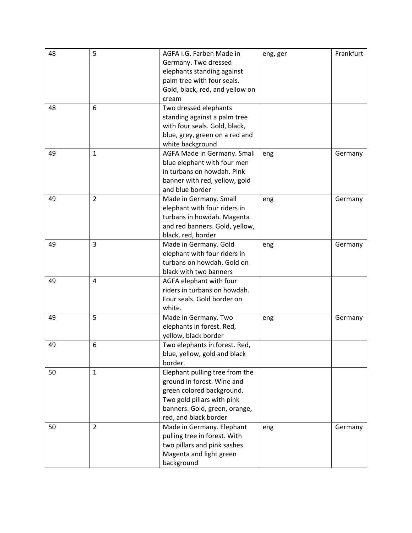| 48 | 5              | AGFA I.G. Farben Made in        | eng, ger | Frankfurt |
|----|----------------|---------------------------------|----------|-----------|
|    |                | Germany. Two dressed            |          |           |
|    |                | elephants standing against      |          |           |
|    |                | palm tree with four seals.      |          |           |
|    |                | Gold, black, red, and yellow on |          |           |
|    |                | cream                           |          |           |
| 48 | 6              | Two dressed elephants           |          |           |
|    |                | standing against a palm tree    |          |           |
|    |                | with four seals. Gold, black,   |          |           |
|    |                | blue, grey, green on a red and  |          |           |
|    |                | white background                |          |           |
| 49 | $\mathbf{1}$   | AGFA Made in Germany. Small     | eng      | Germany   |
|    |                | blue elephant with four men     |          |           |
|    |                | in turbans on howdah. Pink      |          |           |
|    |                | banner with red, yellow, gold   |          |           |
|    |                | and blue border                 |          |           |
| 49 | $\overline{2}$ | Made in Germany. Small          | eng      | Germany   |
|    |                | elephant with four riders in    |          |           |
|    |                | turbans in howdah. Magenta      |          |           |
|    |                | and red banners. Gold, yellow,  |          |           |
|    |                | black, red, border              |          |           |
| 49 | $\overline{3}$ | Made in Germany. Gold           | eng      | Germany   |
|    |                | elephant with four riders in    |          |           |
|    |                | turbans on howdah. Gold on      |          |           |
|    |                | black with two banners          |          |           |
| 49 | 4              | AGFA elephant with four         |          |           |
|    |                | riders in turbans on howdah.    |          |           |
|    |                | Four seals. Gold border on      |          |           |
|    |                | white.                          |          |           |
| 49 | 5              | Made in Germany. Two            | eng      | Germany   |
|    |                | elephants in forest. Red,       |          |           |
|    |                | yellow, black border            |          |           |
| 49 | 6              | Two elephants in forest. Red,   |          |           |
|    |                | blue, yellow, gold and black    |          |           |
|    |                | border.                         |          |           |
| 50 | $\mathbf{1}$   | Elephant pulling tree from the  |          |           |
|    |                | ground in forest. Wine and      |          |           |
|    |                | green colored background.       |          |           |
|    |                | Two gold pillars with pink      |          |           |
|    |                | banners. Gold, green, orange,   |          |           |
|    |                | red, and black border           |          |           |
| 50 | $\overline{2}$ | Made in Germany. Elephant       | eng      | Germany   |
|    |                | pulling tree in forest. With    |          |           |
|    |                | two pillars and pink sashes.    |          |           |
|    |                | Magenta and light green         |          |           |
|    |                | background                      |          |           |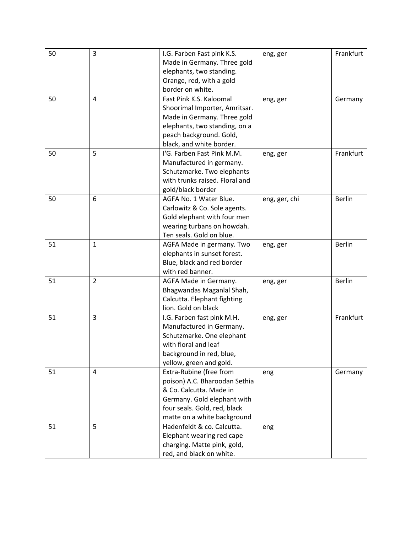| 50 | 3              | I.G. Farben Fast pink K.S.     | eng, ger      | Frankfurt     |
|----|----------------|--------------------------------|---------------|---------------|
|    |                | Made in Germany. Three gold    |               |               |
|    |                | elephants, two standing.       |               |               |
|    |                | Orange, red, with a gold       |               |               |
|    |                | border on white.               |               |               |
| 50 | 4              | Fast Pink K.S. Kaloomal        | eng, ger      | Germany       |
|    |                | Shoorimal Importer, Amritsar.  |               |               |
|    |                | Made in Germany. Three gold    |               |               |
|    |                | elephants, two standing, on a  |               |               |
|    |                | peach background. Gold,        |               |               |
|    |                | black, and white border.       |               |               |
| 50 | 5              | I'G. Farben Fast Pink M.M.     | eng, ger      | Frankfurt     |
|    |                | Manufactured in germany.       |               |               |
|    |                | Schutzmarke. Two elephants     |               |               |
|    |                | with trunks raised. Floral and |               |               |
|    |                | gold/black border              |               |               |
| 50 | 6              | AGFA No. 1 Water Blue.         | eng, ger, chi | <b>Berlin</b> |
|    |                | Carlowitz & Co. Sole agents.   |               |               |
|    |                | Gold elephant with four men    |               |               |
|    |                | wearing turbans on howdah.     |               |               |
|    |                | Ten seals. Gold on blue.       |               |               |
| 51 | $\mathbf{1}$   | AGFA Made in germany. Two      | eng, ger      | <b>Berlin</b> |
|    |                | elephants in sunset forest.    |               |               |
|    |                | Blue, black and red border     |               |               |
|    |                | with red banner.               |               |               |
| 51 | $\overline{2}$ | AGFA Made in Germany.          | eng, ger      | <b>Berlin</b> |
|    |                | Bhagwandas Maganlal Shah,      |               |               |
|    |                | Calcutta. Elephant fighting    |               |               |
|    |                | lion. Gold on black            |               |               |
| 51 | 3              | I.G. Farben fast pink M.H.     | eng, ger      | Frankfurt     |
|    |                | Manufactured in Germany.       |               |               |
|    |                | Schutzmarke. One elephant      |               |               |
|    |                | with floral and leaf           |               |               |
|    |                | background in red, blue,       |               |               |
|    |                | yellow, green and gold.        |               |               |
| 51 | 4              | Extra-Rubine (free from        | eng           | Germany       |
|    |                | poison) A.C. Bharoodan Sethia  |               |               |
|    |                | & Co. Calcutta. Made in        |               |               |
|    |                | Germany. Gold elephant with    |               |               |
|    |                | four seals. Gold, red, black   |               |               |
|    |                | matte on a white background    |               |               |
| 51 | 5              | Hadenfeldt & co. Calcutta.     | eng           |               |
|    |                | Elephant wearing red cape      |               |               |
|    |                | charging. Matte pink, gold,    |               |               |
|    |                | red, and black on white.       |               |               |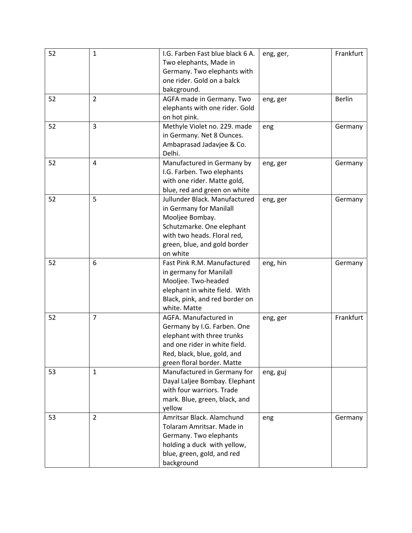| 52 | $\mathbf{1}$   | I.G. Farben Fast blue black 6 A.<br>Two elephants, Made in<br>Germany. Two elephants with<br>one rider. Gold on a balck<br>bakcground.                                              | eng, ger, | Frankfurt     |
|----|----------------|-------------------------------------------------------------------------------------------------------------------------------------------------------------------------------------|-----------|---------------|
| 52 | $\overline{2}$ | AGFA made in Germany. Two<br>elephants with one rider. Gold<br>on hot pink.                                                                                                         | eng, ger  | <b>Berlin</b> |
| 52 | 3              | Methyle Violet no. 229. made<br>in Germany. Net 8 Ounces.<br>Ambaprasad Jadavjee & Co.<br>Delhi.                                                                                    | eng       | Germany       |
| 52 | 4              | Manufactured in Germany by<br>I.G. Farben. Two elephants<br>with one rider. Matte gold,<br>blue, red and green on white                                                             | eng, ger  | Germany       |
| 52 | 5              | Jullunder Black. Manufactured<br>in Germany for Manilall<br>Mooljee Bombay.<br>Schutzmarke. One elephant<br>with two heads. Floral red,<br>green, blue, and gold border<br>on white | eng, ger  | Germany       |
| 52 | 6              | Fast Pink R.M. Manufactured<br>in germany for Manilall<br>Mooljee. Two-headed<br>elephant in white field. With<br>Black, pink, and red border on<br>white. Matte                    | eng, hin  | Germany       |
| 52 | $\overline{7}$ | AGFA. Manufactured in<br>Germany by I.G. Farben. One<br>elephant with three trunks<br>and one rider in white field.<br>Red, black, blue, gold, and<br>green floral border. Matte    | eng, ger  | Frankfurt     |
| 53 | $\mathbf{1}$   | Manufactured in Germany for<br>Dayal Laljee Bombay. Elephant<br>with four warriors. Trade<br>mark. Blue, green, black, and<br>yellow                                                | eng, guj  |               |
| 53 | $\overline{2}$ | Amritsar Black. Alamchund<br>Tolaram Amritsar. Made in<br>Germany. Two elephants<br>holding a duck with yellow,<br>blue, green, gold, and red<br>background                         | eng       | Germany       |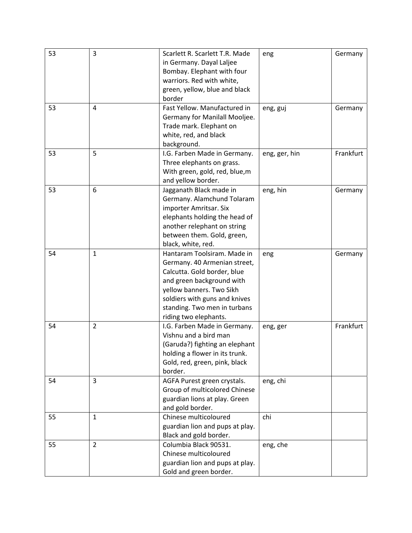| 53 | 3              | Scarlett R. Scarlett T.R. Made  | eng           | Germany   |
|----|----------------|---------------------------------|---------------|-----------|
|    |                | in Germany. Dayal Laljee        |               |           |
|    |                | Bombay. Elephant with four      |               |           |
|    |                | warriors. Red with white,       |               |           |
|    |                | green, yellow, blue and black   |               |           |
|    |                | border                          |               |           |
| 53 | 4              | Fast Yellow. Manufactured in    | eng, guj      | Germany   |
|    |                | Germany for Manilall Mooljee.   |               |           |
|    |                | Trade mark. Elephant on         |               |           |
|    |                | white, red, and black           |               |           |
|    |                | background.                     |               |           |
| 53 | 5              | I.G. Farben Made in Germany.    | eng, ger, hin | Frankfurt |
|    |                | Three elephants on grass.       |               |           |
|    |                | With green, gold, red, blue, m  |               |           |
|    |                | and yellow border.              |               |           |
| 53 | 6              | Jagganath Black made in         | eng, hin      | Germany   |
|    |                | Germany. Alamchund Tolaram      |               |           |
|    |                | importer Amritsar. Six          |               |           |
|    |                | elephants holding the head of   |               |           |
|    |                | another relephant on string     |               |           |
|    |                | between them. Gold, green,      |               |           |
|    |                |                                 |               |           |
|    |                | black, white, red.              |               |           |
| 54 | $\mathbf{1}$   | Hantaram Toolsiram. Made in     | eng           | Germany   |
|    |                | Germany. 40 Armenian street,    |               |           |
|    |                | Calcutta. Gold border, blue     |               |           |
|    |                | and green background with       |               |           |
|    |                | yellow banners. Two Sikh        |               |           |
|    |                | soldiers with guns and knives   |               |           |
|    |                | standing. Two men in turbans    |               |           |
|    |                | riding two elephants.           |               |           |
| 54 | $\overline{2}$ | I.G. Farben Made in Germany.    | eng, ger      | Frankfurt |
|    |                | Vishnu and a bird man           |               |           |
|    |                | (Garuda?) fighting an elephant  |               |           |
|    |                | holding a flower in its trunk.  |               |           |
|    |                | Gold, red, green, pink, black   |               |           |
|    |                | border.                         |               |           |
| 54 | 3              | AGFA Purest green crystals.     | eng, chi      |           |
|    |                | Group of multicolored Chinese   |               |           |
|    |                | guardian lions at play. Green   |               |           |
|    |                | and gold border.                |               |           |
| 55 | $\mathbf{1}$   | Chinese multicoloured           | chi           |           |
|    |                | guardian lion and pups at play. |               |           |
|    |                | Black and gold border.          |               |           |
| 55 | $\overline{2}$ | Columbia Black 90531.           | eng, che      |           |
|    |                | Chinese multicoloured           |               |           |
|    |                | guardian lion and pups at play. |               |           |
|    |                | Gold and green border.          |               |           |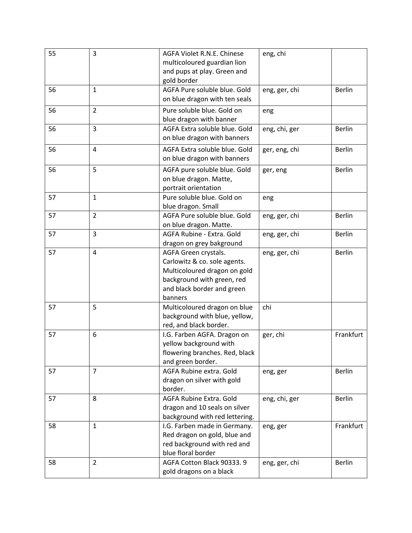| 55 | 3              | AGFA Violet R.N.E. Chinese                              | eng, chi      |               |
|----|----------------|---------------------------------------------------------|---------------|---------------|
|    |                | multicoloured guardian lion                             |               |               |
|    |                | and pups at play. Green and                             |               |               |
|    |                | gold border                                             |               |               |
| 56 | $\mathbf{1}$   | AGFA Pure soluble blue. Gold                            | eng, ger, chi | <b>Berlin</b> |
|    |                | on blue dragon with ten seals                           |               |               |
| 56 | $\overline{2}$ | Pure soluble blue. Gold on                              | eng           |               |
|    |                | blue dragon with banner                                 |               |               |
| 56 | 3              | AGFA Extra soluble blue. Gold                           | eng, chi, ger | <b>Berlin</b> |
|    |                | on blue dragon with banners                             |               |               |
| 56 | $\overline{4}$ | AGFA Extra soluble blue. Gold                           | ger, eng, chi | <b>Berlin</b> |
|    |                | on blue dragon with banners                             |               |               |
| 56 | 5              | AGFA pure soluble blue. Gold                            | ger, eng      | <b>Berlin</b> |
|    |                | on blue dragon. Matte,                                  |               |               |
|    |                | portrait orientation                                    |               |               |
| 57 | $\mathbf{1}$   | Pure soluble blue. Gold on                              | eng           |               |
|    |                | blue dragon. Small                                      |               |               |
| 57 | $\overline{2}$ | AGFA Pure soluble blue. Gold                            | eng, ger, chi | Berlin        |
|    |                | on blue dragon. Matte.                                  |               |               |
| 57 | 3              | AGFA Rubine - Extra. Gold                               | eng, ger, chi | <b>Berlin</b> |
|    |                | dragon on grey bakground                                |               |               |
| 57 | 4              | AGFA Green crystals.                                    | eng, ger, chi | <b>Berlin</b> |
|    |                | Carlowitz & co. sole agents.                            |               |               |
|    |                | Multicoloured dragon on gold                            |               |               |
|    |                | background with green, red                              |               |               |
|    |                | and black border and green                              |               |               |
|    | 5              | banners                                                 |               |               |
| 57 |                | Multicoloured dragon on blue                            | chi           |               |
|    |                | background with blue, yellow,<br>red, and black border. |               |               |
| 57 | 6              | I.G. Farben AGFA. Dragon on                             | ger, chi      | Frankfurt     |
|    |                | yellow background with                                  |               |               |
|    |                | flowering branches. Red, black                          |               |               |
|    |                | and green border.                                       |               |               |
| 57 | $\overline{7}$ | AGFA Rubine extra. Gold                                 | eng, ger      | Berlin        |
|    |                | dragon on silver with gold                              |               |               |
|    |                | border.                                                 |               |               |
| 57 | 8              | AGFA Rubine Extra. Gold                                 | eng, chi, ger | Berlin        |
|    |                | dragon and 10 seals on silver                           |               |               |
|    |                | background with red lettering.                          |               |               |
| 58 | $\mathbf{1}$   | I.G. Farben made in Germany.                            | eng, ger      | Frankfurt     |
|    |                | Red dragon on gold, blue and                            |               |               |
|    |                | red background with red and                             |               |               |
|    |                | blue floral border                                      |               |               |
| 58 | $\overline{2}$ | AGFA Cotton Black 90333.9                               | eng, ger, chi | Berlin        |
|    |                | gold dragons on a black                                 |               |               |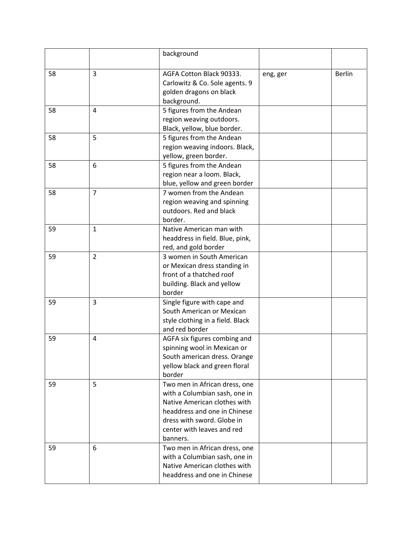|    |                | background                                                     |          |               |
|----|----------------|----------------------------------------------------------------|----------|---------------|
|    |                |                                                                |          |               |
| 58 | 3              | AGFA Cotton Black 90333.                                       | eng, ger | <b>Berlin</b> |
|    |                | Carlowitz & Co. Sole agents. 9<br>golden dragons on black      |          |               |
|    |                | background.                                                    |          |               |
| 58 | 4              | 5 figures from the Andean                                      |          |               |
|    |                | region weaving outdoors.                                       |          |               |
|    |                | Black, yellow, blue border.                                    |          |               |
| 58 | 5              | 5 figures from the Andean                                      |          |               |
|    |                | region weaving indoors. Black,                                 |          |               |
|    |                | yellow, green border.                                          |          |               |
| 58 | 6              | 5 figures from the Andean                                      |          |               |
|    |                | region near a loom. Black,                                     |          |               |
| 58 | $\overline{7}$ | blue, yellow and green border<br>7 women from the Andean       |          |               |
|    |                | region weaving and spinning                                    |          |               |
|    |                | outdoors. Red and black                                        |          |               |
|    |                | border.                                                        |          |               |
| 59 | $\mathbf{1}$   | Native American man with                                       |          |               |
|    |                | headdress in field. Blue, pink,                                |          |               |
|    |                | red, and gold border                                           |          |               |
| 59 | $\overline{2}$ | 3 women in South American                                      |          |               |
|    |                | or Mexican dress standing in                                   |          |               |
|    |                | front of a thatched roof                                       |          |               |
|    |                | building. Black and yellow                                     |          |               |
| 59 | $\overline{3}$ | border<br>Single figure with cape and                          |          |               |
|    |                | South American or Mexican                                      |          |               |
|    |                | style clothing in a field. Black                               |          |               |
|    |                | and red border                                                 |          |               |
| 59 | $\overline{4}$ | AGFA six figures combing and                                   |          |               |
|    |                | spinning wool in Mexican or                                    |          |               |
|    |                | South american dress. Orange                                   |          |               |
|    |                | yellow black and green floral                                  |          |               |
|    |                | border                                                         |          |               |
| 59 | 5              | Two men in African dress, one<br>with a Columbian sash, one in |          |               |
|    |                | Native American clothes with                                   |          |               |
|    |                | headdress and one in Chinese                                   |          |               |
|    |                | dress with sword. Globe in                                     |          |               |
|    |                | center with leaves and red                                     |          |               |
|    |                | banners.                                                       |          |               |
| 59 | 6              | Two men in African dress, one                                  |          |               |
|    |                | with a Columbian sash, one in                                  |          |               |
|    |                | Native American clothes with                                   |          |               |
|    |                | headdress and one in Chinese                                   |          |               |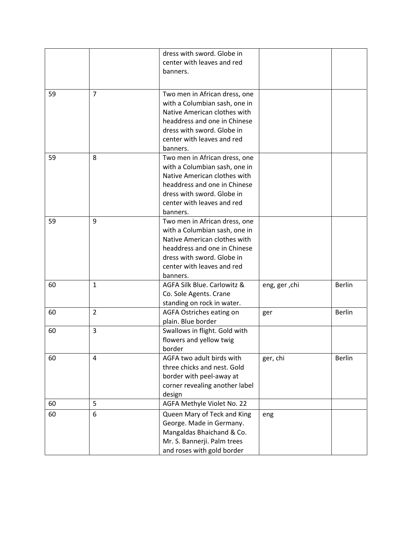|    |                | dress with sword. Globe in<br>center with leaves and red<br>banners.                                                                                                                                   |               |               |
|----|----------------|--------------------------------------------------------------------------------------------------------------------------------------------------------------------------------------------------------|---------------|---------------|
| 59 | $\overline{7}$ | Two men in African dress, one<br>with a Columbian sash, one in<br>Native American clothes with<br>headdress and one in Chinese<br>dress with sword. Globe in<br>center with leaves and red<br>banners. |               |               |
| 59 | 8              | Two men in African dress, one<br>with a Columbian sash, one in<br>Native American clothes with<br>headdress and one in Chinese<br>dress with sword. Globe in<br>center with leaves and red<br>banners. |               |               |
| 59 | 9              | Two men in African dress, one<br>with a Columbian sash, one in<br>Native American clothes with<br>headdress and one in Chinese<br>dress with sword. Globe in<br>center with leaves and red<br>banners. |               |               |
| 60 | $\mathbf{1}$   | AGFA Silk Blue. Carlowitz &<br>Co. Sole Agents. Crane<br>standing on rock in water.                                                                                                                    | eng, ger, chi | <b>Berlin</b> |
| 60 | $\overline{2}$ | AGFA Ostriches eating on<br>plain. Blue border                                                                                                                                                         | ger           | Berlin        |
| 60 | 3              | Swallows in flight. Gold with<br>flowers and yellow twig<br>border                                                                                                                                     |               |               |
| 60 | 4              | AGFA two adult birds with<br>three chicks and nest. Gold<br>border with peel-away at<br>corner revealing another label<br>design                                                                       | ger, chi      | <b>Berlin</b> |
| 60 | 5              | AGFA Methyle Violet No. 22                                                                                                                                                                             |               |               |
| 60 | 6              | Queen Mary of Teck and King<br>George. Made in Germany.<br>Mangaldas Bhaichand & Co.<br>Mr. S. Bannerji. Palm trees<br>and roses with gold border                                                      | eng           |               |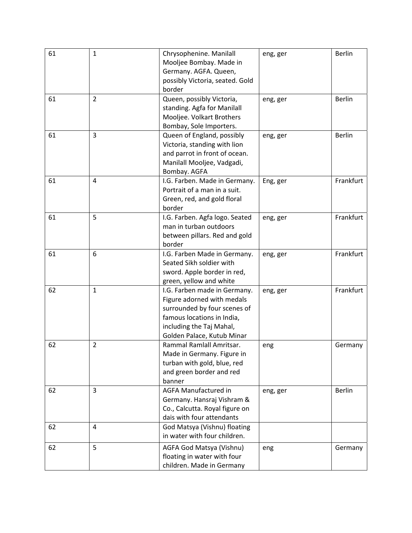| 61 | $\mathbf 1$    | Chrysophenine. Manilall         | eng, ger | <b>Berlin</b> |
|----|----------------|---------------------------------|----------|---------------|
|    |                | Mooljee Bombay. Made in         |          |               |
|    |                | Germany. AGFA. Queen,           |          |               |
|    |                | possibly Victoria, seated. Gold |          |               |
|    |                | border                          |          |               |
| 61 | $\overline{2}$ | Queen, possibly Victoria,       | eng, ger | <b>Berlin</b> |
|    |                | standing. Agfa for Manilall     |          |               |
|    |                | Mooljee. Volkart Brothers       |          |               |
|    |                | Bombay, Sole Importers.         |          |               |
| 61 | $\overline{3}$ | Queen of England, possibly      | eng, ger | <b>Berlin</b> |
|    |                | Victoria, standing with lion    |          |               |
|    |                | and parrot in front of ocean.   |          |               |
|    |                | Manilall Mooljee, Vadgadi,      |          |               |
|    |                | Bombay. AGFA                    |          |               |
| 61 | 4              | I.G. Farben. Made in Germany.   | Eng, ger | Frankfurt     |
|    |                | Portrait of a man in a suit.    |          |               |
|    |                | Green, red, and gold floral     |          |               |
|    |                | border                          |          |               |
| 61 | 5              | I.G. Farben. Agfa logo. Seated  | eng, ger | Frankfurt     |
|    |                | man in turban outdoors          |          |               |
|    |                | between pillars. Red and gold   |          |               |
|    |                | border                          |          |               |
| 61 | 6              | I.G. Farben Made in Germany.    | eng, ger | Frankfurt     |
|    |                | Seated Sikh soldier with        |          |               |
|    |                | sword. Apple border in red,     |          |               |
|    |                | green, yellow and white         |          |               |
| 62 | $\mathbf{1}$   | I.G. Farben made in Germany.    | eng, ger | Frankfurt     |
|    |                | Figure adorned with medals      |          |               |
|    |                | surrounded by four scenes of    |          |               |
|    |                | famous locations in India,      |          |               |
|    |                | including the Taj Mahal,        |          |               |
|    |                | Golden Palace, Kutub Minar      |          |               |
| 62 | $\overline{2}$ | Rammal Ramlall Amritsar.        | eng      | Germany       |
|    |                | Made in Germany. Figure in      |          |               |
|    |                | turban with gold, blue, red     |          |               |
|    |                | and green border and red        |          |               |
|    |                | banner                          |          |               |
| 62 | $\overline{3}$ | <b>AGFA Manufactured in</b>     | eng, ger | <b>Berlin</b> |
|    |                | Germany. Hansraj Vishram &      |          |               |
|    |                | Co., Calcutta. Royal figure on  |          |               |
|    |                | dais with four attendants       |          |               |
| 62 | 4              | God Matsya (Vishnu) floating    |          |               |
|    |                | in water with four children.    |          |               |
| 62 | 5              | AGFA God Matsya (Vishnu)        | eng      | Germany       |
|    |                | floating in water with four     |          |               |
|    |                | children. Made in Germany       |          |               |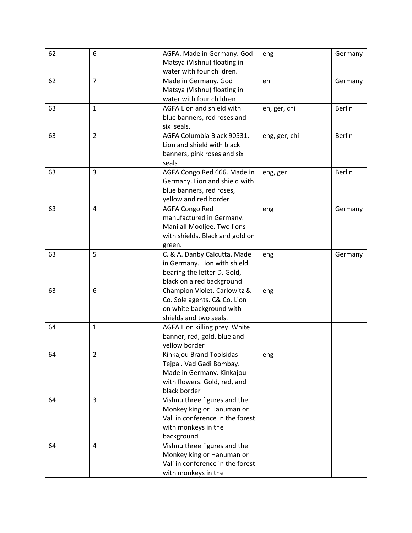| 62 | 6              | AGFA. Made in Germany. God       | eng           | Germany       |
|----|----------------|----------------------------------|---------------|---------------|
|    |                | Matsya (Vishnu) floating in      |               |               |
|    |                | water with four children.        |               |               |
| 62 | $\overline{7}$ | Made in Germany. God             | en            | Germany       |
|    |                | Matsya (Vishnu) floating in      |               |               |
|    |                | water with four children         |               |               |
| 63 | $\mathbf{1}$   | AGFA Lion and shield with        | en, ger, chi  | <b>Berlin</b> |
|    |                | blue banners, red roses and      |               |               |
|    |                | six seals.                       |               |               |
| 63 | $\overline{2}$ | AGFA Columbia Black 90531.       | eng, ger, chi | <b>Berlin</b> |
|    |                | Lion and shield with black       |               |               |
|    |                | banners, pink roses and six      |               |               |
|    |                | seals                            |               |               |
| 63 | $\overline{3}$ | AGFA Congo Red 666. Made in      | eng, ger      | <b>Berlin</b> |
|    |                | Germany. Lion and shield with    |               |               |
|    |                | blue banners, red roses,         |               |               |
|    |                | yellow and red border            |               |               |
| 63 | 4              | <b>AGFA Congo Red</b>            | eng           | Germany       |
|    |                | manufactured in Germany.         |               |               |
|    |                | Manilall Mooljee. Two lions      |               |               |
|    |                | with shields. Black and gold on  |               |               |
|    |                | green.                           |               |               |
| 63 | 5              | C. & A. Danby Calcutta. Made     | eng           | Germany       |
|    |                | in Germany. Lion with shield     |               |               |
|    |                | bearing the letter D. Gold,      |               |               |
|    |                | black on a red background        |               |               |
| 63 | 6              | Champion Violet. Carlowitz &     | eng           |               |
|    |                | Co. Sole agents. C& Co. Lion     |               |               |
|    |                | on white background with         |               |               |
|    |                | shields and two seals.           |               |               |
| 64 | $\mathbf{1}$   | AGFA Lion killing prey. White    |               |               |
|    |                | banner, red, gold, blue and      |               |               |
|    |                | yellow border                    |               |               |
| 64 | $\overline{2}$ | Kinkajou Brand Toolsidas         | eng           |               |
|    |                | Tejpal. Vad Gadi Bombay.         |               |               |
|    |                | Made in Germany. Kinkajou        |               |               |
|    |                | with flowers. Gold, red, and     |               |               |
|    |                | black border                     |               |               |
| 64 | $\overline{3}$ | Vishnu three figures and the     |               |               |
|    |                | Monkey king or Hanuman or        |               |               |
|    |                | Vali in conference in the forest |               |               |
|    |                | with monkeys in the              |               |               |
|    |                | background                       |               |               |
| 64 | $\overline{4}$ | Vishnu three figures and the     |               |               |
|    |                | Monkey king or Hanuman or        |               |               |
|    |                | Vali in conference in the forest |               |               |
|    |                | with monkeys in the              |               |               |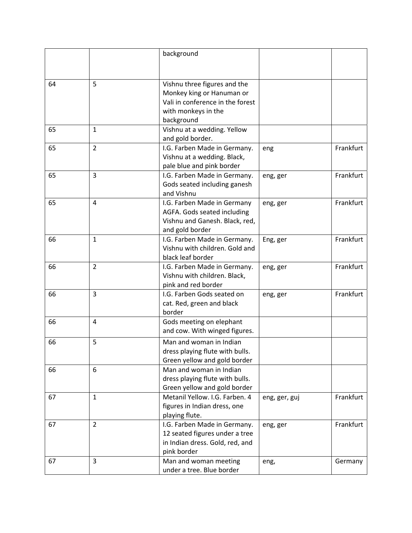|    |                | background                       |               |           |
|----|----------------|----------------------------------|---------------|-----------|
|    |                |                                  |               |           |
|    |                |                                  |               |           |
| 64 | 5              | Vishnu three figures and the     |               |           |
|    |                | Monkey king or Hanuman or        |               |           |
|    |                | Vali in conference in the forest |               |           |
|    |                | with monkeys in the              |               |           |
|    |                | background                       |               |           |
| 65 | $\mathbf{1}$   | Vishnu at a wedding. Yellow      |               |           |
|    |                | and gold border.                 |               |           |
| 65 | $\overline{2}$ | I.G. Farben Made in Germany.     | eng           | Frankfurt |
|    |                | Vishnu at a wedding. Black,      |               |           |
|    |                | pale blue and pink border        |               |           |
| 65 | 3              | I.G. Farben Made in Germany.     | eng, ger      | Frankfurt |
|    |                | Gods seated including ganesh     |               |           |
|    |                | and Vishnu                       |               |           |
| 65 | 4              | I.G. Farben Made in Germany      | eng, ger      | Frankfurt |
|    |                | AGFA. Gods seated including      |               |           |
|    |                | Vishnu and Ganesh. Black, red,   |               |           |
|    |                | and gold border                  |               |           |
| 66 | $\mathbf{1}$   | I.G. Farben Made in Germany.     | Eng, ger      | Frankfurt |
|    |                | Vishnu with children. Gold and   |               |           |
|    |                | black leaf border                |               |           |
| 66 | $\overline{2}$ | I.G. Farben Made in Germany.     | eng, ger      | Frankfurt |
|    |                | Vishnu with children. Black,     |               |           |
|    |                | pink and red border              |               |           |
| 66 | 3              | I.G. Farben Gods seated on       | eng, ger      | Frankfurt |
|    |                | cat. Red, green and black        |               |           |
|    |                | border                           |               |           |
| 66 | 4              | Gods meeting on elephant         |               |           |
|    |                | and cow. With winged figures.    |               |           |
| 66 | 5              | Man and woman in Indian          |               |           |
|    |                | dress playing flute with bulls.  |               |           |
|    |                | Green yellow and gold border     |               |           |
| 66 | 6              | Man and woman in Indian          |               |           |
|    |                | dress playing flute with bulls.  |               |           |
|    |                | Green yellow and gold border     |               |           |
| 67 | $\mathbf{1}$   | Metanil Yellow. I.G. Farben. 4   | eng, ger, guj | Frankfurt |
|    |                | figures in Indian dress, one     |               |           |
|    |                | playing flute.                   |               |           |
| 67 | $\overline{2}$ | I.G. Farben Made in Germany.     | eng, ger      | Frankfurt |
|    |                | 12 seated figures under a tree   |               |           |
|    |                | in Indian dress. Gold, red, and  |               |           |
|    |                | pink border                      |               |           |
| 67 | 3              | Man and woman meeting            | eng,          | Germany   |
|    |                | under a tree. Blue border        |               |           |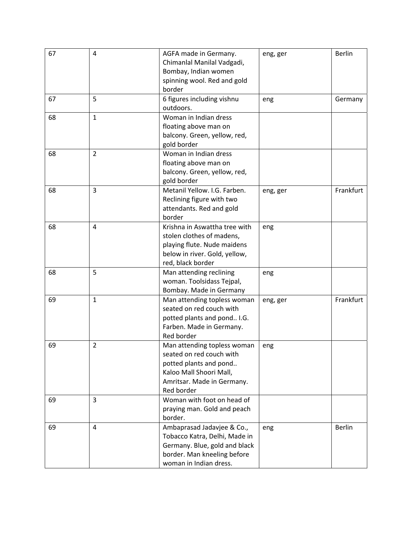| 67 | 4              | AGFA made in Germany.<br>Chimanlal Manilal Vadgadi,<br>Bombay, Indian women<br>spinning wool. Red and gold<br>border                                     | eng, ger | <b>Berlin</b> |
|----|----------------|----------------------------------------------------------------------------------------------------------------------------------------------------------|----------|---------------|
| 67 | 5              | 6 figures including vishnu<br>outdoors.                                                                                                                  | eng      | Germany       |
| 68 | $\mathbf{1}$   | Woman in Indian dress<br>floating above man on<br>balcony. Green, yellow, red,<br>gold border                                                            |          |               |
| 68 | $\overline{2}$ | Woman in Indian dress<br>floating above man on<br>balcony. Green, yellow, red,<br>gold border                                                            |          |               |
| 68 | 3              | Metanil Yellow. I.G. Farben.<br>Reclining figure with two<br>attendants. Red and gold<br>border                                                          | eng, ger | Frankfurt     |
| 68 | 4              | Krishna in Aswattha tree with<br>stolen clothes of madens,<br>playing flute. Nude maidens<br>below in river. Gold, yellow,<br>red, black border          | eng      |               |
| 68 | 5              | Man attending reclining<br>woman. Toolsidass Tejpal,<br>Bombay. Made in Germany                                                                          | eng      |               |
| 69 | $\mathbf{1}$   | Man attending topless woman<br>seated on red couch with<br>potted plants and pond I.G.<br>Farben. Made in Germany.<br>Red border                         | eng, ger | Frankfurt     |
| 69 | $\overline{2}$ | Man attending topless woman<br>seated on red couch with<br>potted plants and pond<br>Kaloo Mall Shoori Mall,<br>Amritsar. Made in Germany.<br>Red border | eng      |               |
| 69 | 3              | Woman with foot on head of<br>praying man. Gold and peach<br>border.                                                                                     |          |               |
| 69 | 4              | Ambaprasad Jadavjee & Co.,<br>Tobacco Katra, Delhi, Made in<br>Germany. Blue, gold and black<br>border. Man kneeling before<br>woman in Indian dress.    | eng      | <b>Berlin</b> |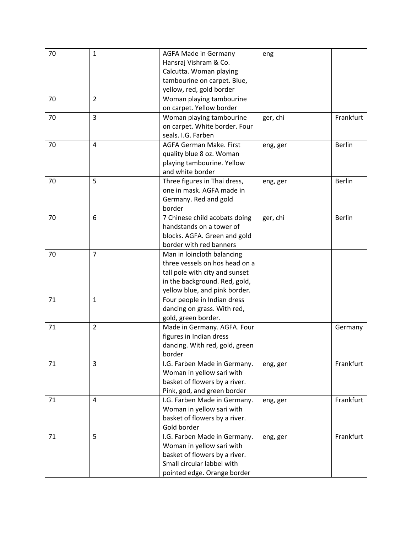| 70 | $\mathbf{1}$   | <b>AGFA Made in Germany</b>    | eng      |               |
|----|----------------|--------------------------------|----------|---------------|
|    |                | Hansraj Vishram & Co.          |          |               |
|    |                | Calcutta. Woman playing        |          |               |
|    |                | tambourine on carpet. Blue,    |          |               |
|    |                | yellow, red, gold border       |          |               |
| 70 | $\overline{2}$ | Woman playing tambourine       |          |               |
|    |                | on carpet. Yellow border       |          |               |
| 70 | 3              | Woman playing tambourine       | ger, chi | Frankfurt     |
|    |                | on carpet. White border. Four  |          |               |
|    |                | seals. I.G. Farben             |          |               |
| 70 | 4              | AGFA German Make. First        | eng, ger | <b>Berlin</b> |
|    |                | quality blue 8 oz. Woman       |          |               |
|    |                | playing tambourine. Yellow     |          |               |
|    |                | and white border               |          |               |
| 70 | 5              | Three figures in Thai dress,   | eng, ger | <b>Berlin</b> |
|    |                | one in mask. AGFA made in      |          |               |
|    |                | Germany. Red and gold          |          |               |
|    |                | border                         |          |               |
| 70 | 6              | 7 Chinese child acobats doing  | ger, chi | <b>Berlin</b> |
|    |                | handstands on a tower of       |          |               |
|    |                |                                |          |               |
|    |                | blocks. AGFA. Green and gold   |          |               |
|    |                | border with red banners        |          |               |
| 70 | $\overline{7}$ | Man in loincloth balancing     |          |               |
|    |                | three vessels on hos head on a |          |               |
|    |                | tall pole with city and sunset |          |               |
|    |                | in the background. Red, gold,  |          |               |
|    |                | yellow blue, and pink border.  |          |               |
| 71 | $\mathbf{1}$   | Four people in Indian dress    |          |               |
|    |                | dancing on grass. With red,    |          |               |
|    |                | gold, green border.            |          |               |
| 71 | $\overline{2}$ | Made in Germany. AGFA. Four    |          | Germany       |
|    |                | figures in Indian dress        |          |               |
|    |                | dancing. With red, gold, green |          |               |
|    |                | border                         |          |               |
| 71 | 3              | I.G. Farben Made in Germany.   | eng, ger | Frankfurt     |
|    |                | Woman in yellow sari with      |          |               |
|    |                | basket of flowers by a river.  |          |               |
|    |                | Pink, god, and green border    |          |               |
| 71 | 4              | I.G. Farben Made in Germany.   | eng, ger | Frankfurt     |
|    |                | Woman in yellow sari with      |          |               |
|    |                | basket of flowers by a river.  |          |               |
|    |                | Gold border                    |          |               |
| 71 | 5              | I.G. Farben Made in Germany.   | eng, ger | Frankfurt     |
|    |                | Woman in yellow sari with      |          |               |
|    |                | basket of flowers by a river.  |          |               |
|    |                | Small circular labbel with     |          |               |
|    |                | pointed edge. Orange border    |          |               |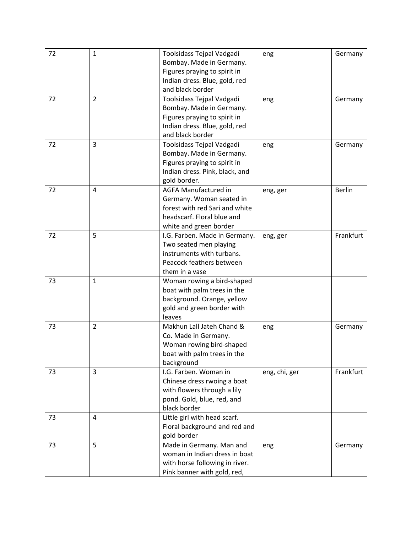| 72 | $\mathbf{1}$   | Toolsidass Tejpal Vadgadi      | eng           | Germany       |
|----|----------------|--------------------------------|---------------|---------------|
|    |                | Bombay. Made in Germany.       |               |               |
|    |                | Figures praying to spirit in   |               |               |
|    |                | Indian dress. Blue, gold, red  |               |               |
|    |                | and black border               |               |               |
| 72 | $\overline{2}$ | Toolsidass Tejpal Vadgadi      | eng           | Germany       |
|    |                | Bombay. Made in Germany.       |               |               |
|    |                | Figures praying to spirit in   |               |               |
|    |                | Indian dress. Blue, gold, red  |               |               |
|    |                | and black border               |               |               |
| 72 | 3              | Toolsidass Tejpal Vadgadi      | eng           | Germany       |
|    |                | Bombay. Made in Germany.       |               |               |
|    |                | Figures praying to spirit in   |               |               |
|    |                | Indian dress. Pink, black, and |               |               |
|    |                | gold border.                   |               |               |
| 72 | $\overline{4}$ | <b>AGFA Manufactured in</b>    |               | <b>Berlin</b> |
|    |                |                                | eng, ger      |               |
|    |                | Germany. Woman seated in       |               |               |
|    |                | forest with red Sari and white |               |               |
|    |                | headscarf. Floral blue and     |               |               |
|    |                | white and green border         |               |               |
| 72 | 5              | I.G. Farben. Made in Germany.  | eng, ger      | Frankfurt     |
|    |                | Two seated men playing         |               |               |
|    |                | instruments with turbans.      |               |               |
|    |                | Peacock feathers between       |               |               |
|    |                | them in a vase                 |               |               |
| 73 | $\mathbf{1}$   | Woman rowing a bird-shaped     |               |               |
|    |                | boat with palm trees in the    |               |               |
|    |                | background. Orange, yellow     |               |               |
|    |                | gold and green border with     |               |               |
|    |                | leaves                         |               |               |
| 73 | $\overline{2}$ | Makhun Lall Jateh Chand &      | eng           | Germany       |
|    |                | Co. Made in Germany.           |               |               |
|    |                | Woman rowing bird-shaped       |               |               |
|    |                | boat with palm trees in the    |               |               |
|    |                | background                     |               |               |
| 73 | $\overline{3}$ | I.G. Farben. Woman in          | eng, chi, ger | Frankfurt     |
|    |                | Chinese dress rwoing a boat    |               |               |
|    |                | with flowers through a lily    |               |               |
|    |                | pond. Gold, blue, red, and     |               |               |
|    |                | black border                   |               |               |
| 73 | 4              | Little girl with head scarf.   |               |               |
|    |                | Floral background and red and  |               |               |
|    |                | gold border                    |               |               |
| 73 | 5              | Made in Germany. Man and       | eng           | Germany       |
|    |                | woman in Indian dress in boat  |               |               |
|    |                | with horse following in river. |               |               |
|    |                | Pink banner with gold, red,    |               |               |
|    |                |                                |               |               |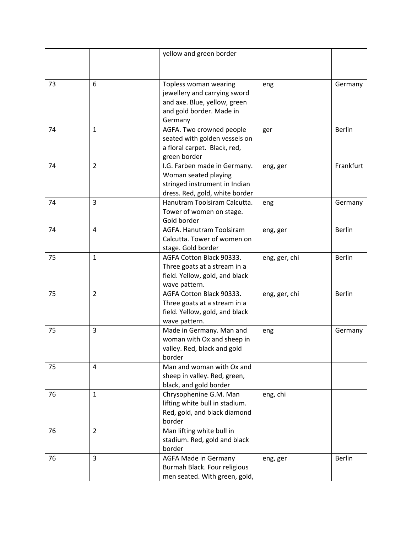|    |                | yellow and green border                                                                                                 |               |               |
|----|----------------|-------------------------------------------------------------------------------------------------------------------------|---------------|---------------|
|    |                |                                                                                                                         |               |               |
|    |                |                                                                                                                         |               |               |
| 73 | 6              | Topless woman wearing<br>jewellery and carrying sword<br>and axe. Blue, yellow, green                                   | eng           | Germany       |
|    |                | and gold border. Made in<br>Germany                                                                                     |               |               |
| 74 | $\mathbf{1}$   | AGFA. Two crowned people<br>seated with golden vessels on<br>a floral carpet. Black, red,<br>green border               | ger           | <b>Berlin</b> |
| 74 | $\overline{2}$ | I.G. Farben made in Germany.<br>Woman seated playing<br>stringed instrument in Indian<br>dress. Red, gold, white border | eng, ger      | Frankfurt     |
| 74 | 3              | Hanutram Toolsiram Calcutta.<br>Tower of women on stage.<br>Gold border                                                 | eng           | Germany       |
| 74 | 4              | AGFA. Hanutram Toolsiram<br>Calcutta. Tower of women on<br>stage. Gold border                                           | eng, ger      | <b>Berlin</b> |
| 75 | $\mathbf{1}$   | AGFA Cotton Black 90333.<br>Three goats at a stream in a<br>field. Yellow, gold, and black<br>wave pattern.             | eng, ger, chi | <b>Berlin</b> |
| 75 | $\overline{2}$ | AGFA Cotton Black 90333.<br>Three goats at a stream in a<br>field. Yellow, gold, and black<br>wave pattern.             | eng, ger, chi | <b>Berlin</b> |
| 75 | 3              | Made in Germany. Man and<br>woman with Ox and sheep in<br>valley. Red, black and gold<br>border                         | eng           | Germany       |
| 75 | 4              | Man and woman with Ox and<br>sheep in valley. Red, green,<br>black, and gold border                                     |               |               |
| 76 | $\mathbf{1}$   | Chrysophenine G.M. Man<br>lifting white bull in stadium.<br>Red, gold, and black diamond<br>border                      | eng, chi      |               |
| 76 | $\overline{2}$ | Man lifting white bull in<br>stadium. Red, gold and black<br>border                                                     |               |               |
| 76 | $\overline{3}$ | AGFA Made in Germany<br>Burmah Black. Four religious<br>men seated. With green, gold,                                   | eng, ger      | <b>Berlin</b> |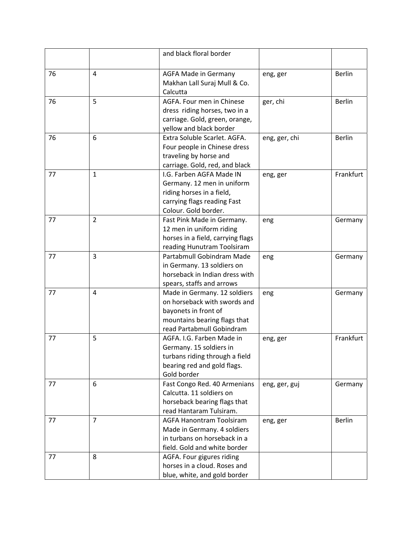|    |                | and black floral border                                         |               |               |
|----|----------------|-----------------------------------------------------------------|---------------|---------------|
| 76 | 4              | <b>AGFA Made in Germany</b>                                     | eng, ger      | <b>Berlin</b> |
|    |                | Makhan Lall Suraj Mull & Co.<br>Calcutta                        |               |               |
| 76 | 5              | AGFA. Four men in Chinese                                       | ger, chi      | <b>Berlin</b> |
|    |                | dress riding horses, two in a<br>carriage. Gold, green, orange, |               |               |
|    |                | yellow and black border                                         |               |               |
| 76 | 6              | Extra Soluble Scarlet. AGFA.                                    | eng, ger, chi | <b>Berlin</b> |
|    |                | Four people in Chinese dress                                    |               |               |
|    |                | traveling by horse and                                          |               |               |
|    |                | carriage. Gold, red, and black                                  |               |               |
| 77 | $\mathbf{1}$   | I.G. Farben AGFA Made IN                                        | eng, ger      | Frankfurt     |
|    |                | Germany. 12 men in uniform<br>riding horses in a field,         |               |               |
|    |                | carrying flags reading Fast                                     |               |               |
|    |                | Colour. Gold border.                                            |               |               |
| 77 | $\overline{2}$ | Fast Pink Made in Germany.                                      | eng           | Germany       |
|    |                | 12 men in uniform riding                                        |               |               |
|    |                | horses in a field, carrying flags                               |               |               |
|    |                | reading Hunutram Toolsiram                                      |               |               |
| 77 | 3              | Partabmull Gobindram Made                                       | eng           | Germany       |
|    |                | in Germany. 13 soldiers on                                      |               |               |
|    |                | horseback in Indian dress with                                  |               |               |
| 77 | 4              | spears, staffs and arrows<br>Made in Germany. 12 soldiers       | eng           | Germany       |
|    |                | on horseback with swords and                                    |               |               |
|    |                | bayonets in front of                                            |               |               |
|    |                | mountains bearing flags that                                    |               |               |
|    |                | read Partabmull Gobindram                                       |               |               |
| 77 | 5              | AGFA. I.G. Farben Made in                                       | eng, ger      | Frankfurt     |
|    |                | Germany. 15 soldiers in                                         |               |               |
|    |                | turbans riding through a field                                  |               |               |
|    |                | bearing red and gold flags.<br>Gold border                      |               |               |
| 77 | 6              | Fast Congo Red. 40 Armenians                                    | eng, ger, guj | Germany       |
|    |                | Calcutta. 11 soldiers on                                        |               |               |
|    |                | horseback bearing flags that                                    |               |               |
|    |                | read Hantaram Tulsiram.                                         |               |               |
| 77 | $\overline{7}$ | <b>AGFA Hanontram Toolsiram</b>                                 | eng, ger      | <b>Berlin</b> |
|    |                | Made in Germany. 4 soldiers                                     |               |               |
|    |                | in turbans on horseback in a                                    |               |               |
|    |                | field. Gold and white border                                    |               |               |
| 77 | 8              | AGFA. Four gigures riding                                       |               |               |
|    |                | horses in a cloud. Roses and                                    |               |               |
|    |                | blue, white, and gold border                                    |               |               |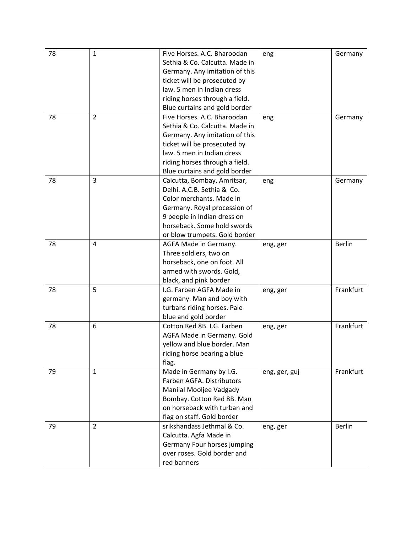| 78 | $\mathbf{1}$   | Five Horses. A.C. Bharoodan    | eng           | Germany       |
|----|----------------|--------------------------------|---------------|---------------|
|    |                | Sethia & Co. Calcutta. Made in |               |               |
|    |                | Germany. Any imitation of this |               |               |
|    |                | ticket will be prosecuted by   |               |               |
|    |                | law. 5 men in Indian dress     |               |               |
|    |                | riding horses through a field. |               |               |
|    |                | Blue curtains and gold border  |               |               |
| 78 | $\overline{2}$ | Five Horses. A.C. Bharoodan    | eng           | Germany       |
|    |                | Sethia & Co. Calcutta. Made in |               |               |
|    |                | Germany. Any imitation of this |               |               |
|    |                | ticket will be prosecuted by   |               |               |
|    |                | law. 5 men in Indian dress     |               |               |
|    |                | riding horses through a field. |               |               |
|    |                | Blue curtains and gold border  |               |               |
| 78 | $\overline{3}$ | Calcutta, Bombay, Amritsar,    | eng           | Germany       |
|    |                | Delhi. A.C.B. Sethia & Co.     |               |               |
|    |                | Color merchants. Made in       |               |               |
|    |                | Germany. Royal procession of   |               |               |
|    |                | 9 people in Indian dress on    |               |               |
|    |                | horseback. Some hold swords    |               |               |
|    |                | or blow trumpets. Gold border  |               |               |
| 78 | 4              | AGFA Made in Germany.          | eng, ger      | <b>Berlin</b> |
|    |                | Three soldiers, two on         |               |               |
|    |                | horseback, one on foot. All    |               |               |
|    |                | armed with swords. Gold,       |               |               |
|    |                | black, and pink border         |               |               |
| 78 | 5              | I.G. Farben AGFA Made in       | eng, ger      | Frankfurt     |
|    |                | germany. Man and boy with      |               |               |
|    |                | turbans riding horses. Pale    |               |               |
|    |                | blue and gold border           |               |               |
| 78 | 6              | Cotton Red 8B. I.G. Farben     | eng, ger      | Frankfurt     |
|    |                | AGFA Made in Germany. Gold     |               |               |
|    |                | yellow and blue border. Man    |               |               |
|    |                | riding horse bearing a blue    |               |               |
|    |                | flag.                          |               |               |
| 79 | $\mathbf{1}$   | Made in Germany by I.G.        | eng, ger, guj | Frankfurt     |
|    |                | Farben AGFA. Distributors      |               |               |
|    |                | Manilal Mooljee Vadgady        |               |               |
|    |                | Bombay. Cotton Red 8B. Man     |               |               |
|    |                | on horseback with turban and   |               |               |
|    |                | flag on staff. Gold border     |               |               |
| 79 | $\overline{2}$ | srikshandass Jethmal & Co.     | eng, ger      | <b>Berlin</b> |
|    |                | Calcutta. Agfa Made in         |               |               |
|    |                | Germany Four horses jumping    |               |               |
|    |                | over roses. Gold border and    |               |               |
|    |                | red banners                    |               |               |
|    |                |                                |               |               |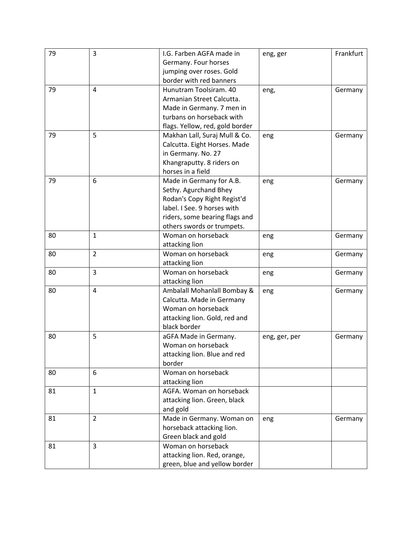| 79 | 3              | I.G. Farben AGFA made in        | eng, ger      | Frankfurt |
|----|----------------|---------------------------------|---------------|-----------|
|    |                | Germany. Four horses            |               |           |
|    |                | jumping over roses. Gold        |               |           |
|    |                | border with red banners         |               |           |
| 79 | 4              | Hunutram Toolsiram. 40          | eng,          | Germany   |
|    |                | Armanian Street Calcutta.       |               |           |
|    |                | Made in Germany. 7 men in       |               |           |
|    |                | turbans on horseback with       |               |           |
|    |                | flags. Yellow, red, gold border |               |           |
| 79 | 5              | Makhan Lall, Suraj Mull & Co.   | eng           | Germany   |
|    |                | Calcutta. Eight Horses. Made    |               |           |
|    |                | in Germany. No. 27              |               |           |
|    |                | Khangraputty. 8 riders on       |               |           |
|    |                | horses in a field               |               |           |
| 79 | 6              | Made in Germany for A.B.        | eng           | Germany   |
|    |                | Sethy. Agurchand Bhey           |               |           |
|    |                | Rodan's Copy Right Regist'd     |               |           |
|    |                | label. I See. 9 horses with     |               |           |
|    |                | riders, some bearing flags and  |               |           |
|    |                | others swords or trumpets.      |               |           |
| 80 | $\mathbf{1}$   | Woman on horseback              | eng           | Germany   |
|    |                | attacking lion                  |               |           |
| 80 | $\overline{2}$ | Woman on horseback              | eng           | Germany   |
|    |                | attacking lion                  |               |           |
| 80 | 3              | Woman on horseback              | eng           | Germany   |
|    |                | attacking lion                  |               |           |
| 80 | $\overline{4}$ | Ambalall Mohanlall Bombay &     | eng           | Germany   |
|    |                | Calcutta. Made in Germany       |               |           |
|    |                | Woman on horseback              |               |           |
|    |                | attacking lion. Gold, red and   |               |           |
|    |                | black border                    |               |           |
| 80 | 5              | aGFA Made in Germany.           | eng, ger, per | Germany   |
|    |                | Woman on horseback              |               |           |
|    |                | attacking lion. Blue and red    |               |           |
|    |                | border                          |               |           |
| 80 | 6              | Woman on horseback              |               |           |
|    |                | attacking lion                  |               |           |
| 81 | $\mathbf{1}$   | AGFA. Woman on horseback        |               |           |
|    |                | attacking lion. Green, black    |               |           |
|    |                | and gold                        |               |           |
| 81 | $\overline{2}$ | Made in Germany. Woman on       | eng           | Germany   |
|    |                | horseback attacking lion.       |               |           |
|    |                | Green black and gold            |               |           |
| 81 | 3              | Woman on horseback              |               |           |
|    |                | attacking lion. Red, orange,    |               |           |
|    |                | green, blue and yellow border   |               |           |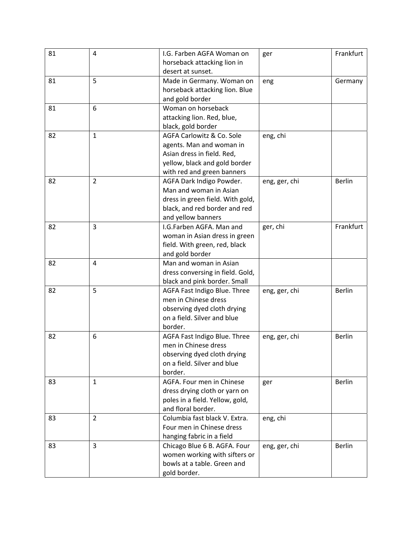| 81 | 4              | I.G. Farben AGFA Woman on<br>horseback attacking lion in                                                                                      | ger           | Frankfurt     |
|----|----------------|-----------------------------------------------------------------------------------------------------------------------------------------------|---------------|---------------|
| 81 | 5              | desert at sunset.<br>Made in Germany. Woman on<br>horseback attacking lion. Blue                                                              | eng           | Germany       |
|    |                | and gold border                                                                                                                               |               |               |
| 81 | 6              | Woman on horseback<br>attacking lion. Red, blue,                                                                                              |               |               |
|    |                | black, gold border                                                                                                                            |               |               |
| 82 | $\mathbf{1}$   | AGFA Carlowitz & Co. Sole<br>agents. Man and woman in<br>Asian dress in field. Red,                                                           | eng, chi      |               |
|    |                | yellow, black and gold border<br>with red and green banners                                                                                   |               |               |
| 82 | $\overline{2}$ | AGFA Dark Indigo Powder.<br>Man and woman in Asian<br>dress in green field. With gold,<br>black, and red border and red<br>and yellow banners | eng, ger, chi | <b>Berlin</b> |
| 82 | 3              | I.G.Farben AGFA. Man and<br>woman in Asian dress in green<br>field. With green, red, black<br>and gold border                                 | ger, chi      | Frankfurt     |
| 82 | 4              | Man and woman in Asian<br>dress conversing in field. Gold,<br>black and pink border. Small                                                    |               |               |
| 82 | 5              | AGFA Fast Indigo Blue. Three<br>men in Chinese dress<br>observing dyed cloth drying<br>on a field. Silver and blue<br>border.                 | eng, ger, chi | <b>Berlin</b> |
| 82 | 6              | AGFA Fast Indigo Blue. Three<br>men in Chinese dress<br>observing dyed cloth drying<br>on a field. Silver and blue<br>border.                 | eng, ger, chi | <b>Berlin</b> |
| 83 | $\mathbf{1}$   | AGFA. Four men in Chinese<br>dress drying cloth or yarn on<br>poles in a field. Yellow, gold,<br>and floral border.                           | ger           | <b>Berlin</b> |
| 83 | $\overline{2}$ | Columbia fast black V. Extra.<br>Four men in Chinese dress<br>hanging fabric in a field                                                       | eng, chi      |               |
| 83 | 3              | Chicago Blue 6 B. AGFA. Four<br>women working with sifters or<br>bowls at a table. Green and<br>gold border.                                  | eng, ger, chi | <b>Berlin</b> |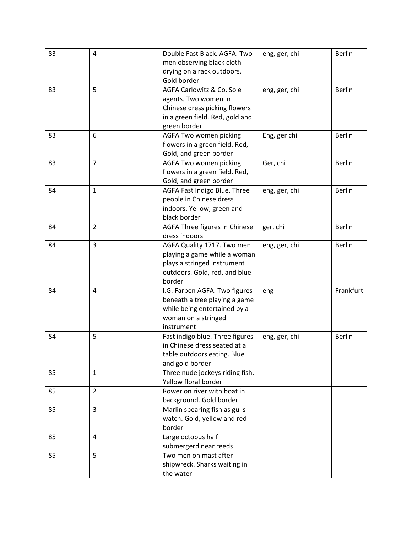| 83 | 4              | Double Fast Black. AGFA. Two<br>men observing black cloth<br>drying on a rack outdoors.<br>Gold border                                | eng, ger, chi | <b>Berlin</b> |
|----|----------------|---------------------------------------------------------------------------------------------------------------------------------------|---------------|---------------|
| 83 | 5              | AGFA Carlowitz & Co. Sole<br>agents. Two women in<br>Chinese dress picking flowers<br>in a green field. Red, gold and<br>green border | eng, ger, chi | <b>Berlin</b> |
| 83 | 6              | AGFA Two women picking<br>flowers in a green field. Red,<br>Gold, and green border                                                    | Eng, ger chi  | <b>Berlin</b> |
| 83 | $\overline{7}$ | AGFA Two women picking<br>flowers in a green field. Red,<br>Gold, and green border                                                    | Ger, chi      | <b>Berlin</b> |
| 84 | $\mathbf{1}$   | AGFA Fast Indigo Blue. Three<br>people in Chinese dress<br>indoors. Yellow, green and<br>black border                                 | eng, ger, chi | <b>Berlin</b> |
| 84 | $\overline{2}$ | AGFA Three figures in Chinese<br>dress indoors                                                                                        | ger, chi      | <b>Berlin</b> |
| 84 | $\overline{3}$ | AGFA Quality 1717. Two men<br>playing a game while a woman<br>plays a stringed instrument<br>outdoors. Gold, red, and blue<br>border  | eng, ger, chi | <b>Berlin</b> |
| 84 | 4              | I.G. Farben AGFA. Two figures<br>beneath a tree playing a game<br>while being entertained by a<br>woman on a stringed<br>instrument   | eng           | Frankfurt     |
| 84 | 5              | Fast indigo blue. Three figures<br>in Chinese dress seated at a<br>table outdoors eating. Blue<br>and gold border                     | eng, ger, chi | <b>Berlin</b> |
| 85 | $\mathbf{1}$   | Three nude jockeys riding fish.<br>Yellow floral border                                                                               |               |               |
| 85 | $\overline{2}$ | Rower on river with boat in<br>background. Gold border                                                                                |               |               |
| 85 | 3              | Marlin spearing fish as gulls<br>watch. Gold, yellow and red<br>border                                                                |               |               |
| 85 | 4              | Large octopus half<br>submergerd near reeds                                                                                           |               |               |
| 85 | 5              | Two men on mast after<br>shipwreck. Sharks waiting in<br>the water                                                                    |               |               |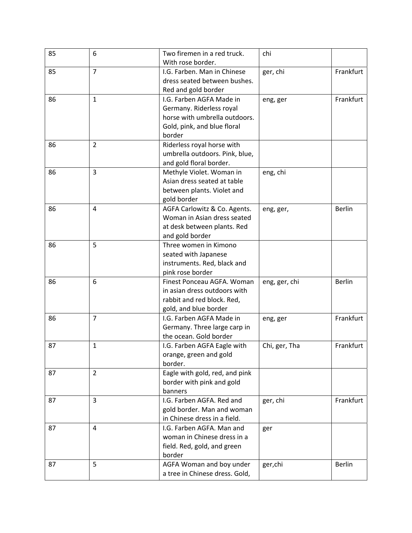| 85 | 6              | Two firemen in a red truck.    | chi           |               |
|----|----------------|--------------------------------|---------------|---------------|
|    |                | With rose border.              |               |               |
| 85 | $\overline{7}$ | I.G. Farben. Man in Chinese    | ger, chi      | Frankfurt     |
|    |                | dress seated between bushes.   |               |               |
|    |                | Red and gold border            |               |               |
| 86 | $\mathbf{1}$   | I.G. Farben AGFA Made in       | eng, ger      | Frankfurt     |
|    |                | Germany. Riderless royal       |               |               |
|    |                | horse with umbrella outdoors.  |               |               |
|    |                | Gold, pink, and blue floral    |               |               |
|    |                | border                         |               |               |
| 86 | 2              | Riderless royal horse with     |               |               |
|    |                | umbrella outdoors. Pink, blue, |               |               |
|    |                | and gold floral border.        |               |               |
| 86 | 3              | Methyle Violet. Woman in       | eng, chi      |               |
|    |                | Asian dress seated at table    |               |               |
|    |                | between plants. Violet and     |               |               |
|    |                | gold border                    |               |               |
| 86 | 4              | AGFA Carlowitz & Co. Agents.   | eng, ger,     | <b>Berlin</b> |
|    |                | Woman in Asian dress seated    |               |               |
|    |                | at desk between plants. Red    |               |               |
|    |                | and gold border                |               |               |
| 86 | 5              | Three women in Kimono          |               |               |
|    |                | seated with Japanese           |               |               |
|    |                | instruments. Red, black and    |               |               |
|    |                | pink rose border               |               |               |
| 86 | 6              | Finest Ponceau AGFA. Woman     | eng, ger, chi | <b>Berlin</b> |
|    |                | in asian dress outdoors with   |               |               |
|    |                | rabbit and red block. Red,     |               |               |
|    |                | gold, and blue border          |               |               |
| 86 | $\overline{7}$ | I.G. Farben AGFA Made in       | eng, ger      | Frankfurt     |
|    |                | Germany. Three large carp in   |               |               |
|    |                | the ocean. Gold border         |               |               |
| 87 | $\mathbf{1}$   | I.G. Farben AGFA Eagle with    | Chi, ger, Tha | Frankfurt     |
|    |                | orange, green and gold         |               |               |
|    |                | border.                        |               |               |
| 87 | $\overline{2}$ | Eagle with gold, red, and pink |               |               |
|    |                | border with pink and gold      |               |               |
|    |                | banners                        |               |               |
| 87 | $\overline{3}$ | I.G. Farben AGFA. Red and      | ger, chi      | Frankfurt     |
|    |                | gold border. Man and woman     |               |               |
|    |                | in Chinese dress in a field.   |               |               |
| 87 | $\overline{4}$ | I.G. Farben AGFA. Man and      | ger           |               |
|    |                | woman in Chinese dress in a    |               |               |
|    |                | field. Red, gold, and green    |               |               |
|    |                | border                         |               |               |
| 87 | 5              | AGFA Woman and boy under       | ger,chi       | <b>Berlin</b> |
|    |                | a tree in Chinese dress. Gold, |               |               |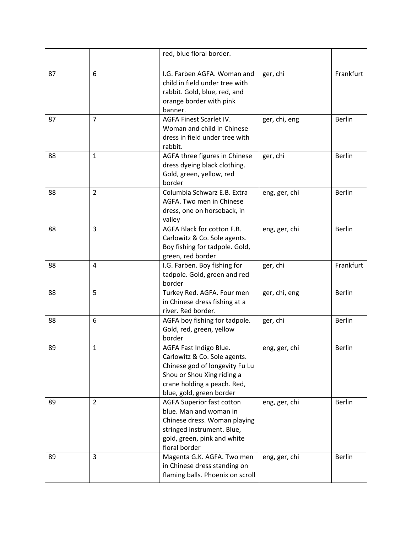|    |                | red, blue floral border.                                      |               |               |
|----|----------------|---------------------------------------------------------------|---------------|---------------|
|    |                |                                                               |               |               |
| 87 | 6              | I.G. Farben AGFA. Woman and<br>child in field under tree with | ger, chi      | Frankfurt     |
|    |                | rabbit. Gold, blue, red, and                                  |               |               |
|    |                | orange border with pink                                       |               |               |
|    |                | banner.                                                       |               |               |
| 87 | $\overline{7}$ | AGFA Finest Scarlet IV.                                       | ger, chi, eng | <b>Berlin</b> |
|    |                | Woman and child in Chinese                                    |               |               |
|    |                | dress in field under tree with                                |               |               |
|    |                | rabbit.                                                       |               |               |
| 88 | $\mathbf{1}$   | AGFA three figures in Chinese                                 | ger, chi      | <b>Berlin</b> |
|    |                | dress dyeing black clothing.                                  |               |               |
|    |                | Gold, green, yellow, red                                      |               |               |
| 88 | $\overline{2}$ | border<br>Columbia Schwarz E.B. Extra                         | eng, ger, chi | <b>Berlin</b> |
|    |                | AGFA. Two men in Chinese                                      |               |               |
|    |                | dress, one on horseback, in                                   |               |               |
|    |                | valley                                                        |               |               |
| 88 | $\overline{3}$ | AGFA Black for cotton F.B.                                    | eng, ger, chi | <b>Berlin</b> |
|    |                | Carlowitz & Co. Sole agents.                                  |               |               |
|    |                | Boy fishing for tadpole. Gold,                                |               |               |
|    |                | green, red border                                             |               |               |
| 88 | 4              | I.G. Farben. Boy fishing for                                  | ger, chi      | Frankfurt     |
|    |                | tadpole. Gold, green and red                                  |               |               |
| 88 | 5              | border                                                        |               | <b>Berlin</b> |
|    |                | Turkey Red. AGFA. Four men<br>in Chinese dress fishing at a   | ger, chi, eng |               |
|    |                | river. Red border.                                            |               |               |
| 88 | 6              | AGFA boy fishing for tadpole.                                 | ger, chi      | <b>Berlin</b> |
|    |                | Gold, red, green, yellow                                      |               |               |
|    |                | border                                                        |               |               |
| 89 | $\mathbf{1}$   | AGFA Fast Indigo Blue.                                        | eng, ger, chi | <b>Berlin</b> |
|    |                | Carlowitz & Co. Sole agents.                                  |               |               |
|    |                | Chinese god of longevity Fu Lu                                |               |               |
|    |                | Shou or Shou Xing riding a                                    |               |               |
|    |                | crane holding a peach. Red,                                   |               |               |
| 89 | $\overline{2}$ | blue, gold, green border<br><b>AGFA Superior fast cotton</b>  |               | <b>Berlin</b> |
|    |                | blue. Man and woman in                                        | eng, ger, chi |               |
|    |                | Chinese dress. Woman playing                                  |               |               |
|    |                | stringed instrument. Blue,                                    |               |               |
|    |                | gold, green, pink and white                                   |               |               |
|    |                | floral border                                                 |               |               |
| 89 | 3              | Magenta G.K. AGFA. Two men                                    | eng, ger, chi | <b>Berlin</b> |
|    |                | in Chinese dress standing on                                  |               |               |
|    |                | flaming balls. Phoenix on scroll                              |               |               |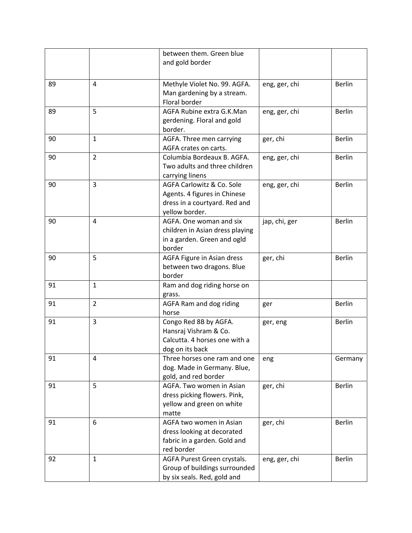|    |                | between them. Green blue<br>and gold border                                                                  |               |               |
|----|----------------|--------------------------------------------------------------------------------------------------------------|---------------|---------------|
|    |                |                                                                                                              |               |               |
| 89 | 4              | Methyle Violet No. 99. AGFA.<br>Man gardening by a stream.<br>Floral border                                  | eng, ger, chi | <b>Berlin</b> |
| 89 | 5              | AGFA Rubine extra G.K.Man<br>gerdening. Floral and gold<br>border.                                           | eng, ger, chi | <b>Berlin</b> |
| 90 | $\mathbf{1}$   | AGFA. Three men carrying<br>AGFA crates on carts.                                                            | ger, chi      | <b>Berlin</b> |
| 90 | $\overline{2}$ | Columbia Bordeaux B. AGFA.<br>Two adults and three children<br>carrying linens                               | eng, ger, chi | <b>Berlin</b> |
| 90 | $\overline{3}$ | AGFA Carlowitz & Co. Sole<br>Agents. 4 figures in Chinese<br>dress in a courtyard. Red and<br>yellow border. | eng, ger, chi | <b>Berlin</b> |
| 90 | 4              | AGFA. One woman and six<br>children in Asian dress playing<br>in a garden. Green and ogld<br>border          | jap, chi, ger | <b>Berlin</b> |
| 90 | 5              | AGFA Figure in Asian dress<br>between two dragons. Blue<br>border                                            | ger, chi      | <b>Berlin</b> |
| 91 | $\mathbf{1}$   | Ram and dog riding horse on<br>grass.                                                                        |               |               |
| 91 | $\overline{2}$ | AGFA Ram and dog riding<br>horse                                                                             | ger           | <b>Berlin</b> |
| 91 | $\overline{3}$ | Congo Red 8B by AGFA.<br>Hansraj Vishram & Co.<br>Calcutta. 4 horses one with a<br>dog on its back           | ger, eng      | Berlin        |
| 91 | 4              | Three horses one ram and one<br>dog. Made in Germany. Blue,<br>gold, and red border                          | eng           | Germany       |
| 91 | 5              | AGFA. Two women in Asian<br>dress picking flowers. Pink,<br>yellow and green on white<br>matte               | ger, chi      | <b>Berlin</b> |
| 91 | 6              | AGFA two women in Asian<br>dress looking at decorated<br>fabric in a garden. Gold and<br>red border          | ger, chi      | <b>Berlin</b> |
| 92 | $\mathbf{1}$   | AGFA Purest Green crystals.<br>Group of buildings surrounded<br>by six seals. Red, gold and                  | eng, ger, chi | <b>Berlin</b> |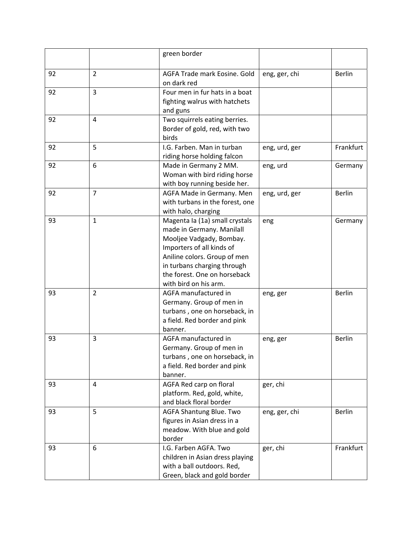|    |                | green border                                                                                                                                                                                                                                 |               |               |
|----|----------------|----------------------------------------------------------------------------------------------------------------------------------------------------------------------------------------------------------------------------------------------|---------------|---------------|
| 92 | $\overline{2}$ | AGFA Trade mark Eosine. Gold<br>on dark red                                                                                                                                                                                                  | eng, ger, chi | <b>Berlin</b> |
| 92 | 3              | Four men in fur hats in a boat<br>fighting walrus with hatchets<br>and guns                                                                                                                                                                  |               |               |
| 92 | 4              | Two squirrels eating berries.<br>Border of gold, red, with two<br>birds                                                                                                                                                                      |               |               |
| 92 | 5              | I.G. Farben. Man in turban<br>riding horse holding falcon                                                                                                                                                                                    | eng, urd, ger | Frankfurt     |
| 92 | 6              | Made in Germany 2 MM.<br>Woman with bird riding horse<br>with boy running beside her.                                                                                                                                                        | eng, urd      | Germany       |
| 92 | $\overline{7}$ | AGFA Made in Germany. Men<br>with turbans in the forest, one<br>with halo, charging                                                                                                                                                          | eng, urd, ger | <b>Berlin</b> |
| 93 | $\mathbf{1}$   | Magenta la (1a) small crystals<br>made in Germany. Manilall<br>Mooljee Vadgady, Bombay.<br>Importers of all kinds of<br>Aniline colors. Group of men<br>in turbans charging through<br>the forest. One on horseback<br>with bird on his arm. | eng           | Germany       |
| 93 | $\overline{2}$ | AGFA manufactured in<br>Germany. Group of men in<br>turbans, one on horseback, in<br>a field. Red border and pink<br>banner.                                                                                                                 | eng, ger      | <b>Berlin</b> |
| 93 | 3              | AGFA manufactured in<br>Germany. Group of men in<br>turbans, one on horseback, in<br>a field. Red border and pink<br>banner.                                                                                                                 | eng, ger      | <b>Berlin</b> |
| 93 | 4              | AGFA Red carp on floral<br>platform. Red, gold, white,<br>and black floral border                                                                                                                                                            | ger, chi      |               |
| 93 | 5              | AGFA Shantung Blue. Two<br>figures in Asian dress in a<br>meadow. With blue and gold<br>border                                                                                                                                               | eng, ger, chi | Berlin        |
| 93 | 6              | I.G. Farben AGFA. Two<br>children in Asian dress playing<br>with a ball outdoors. Red,<br>Green, black and gold border                                                                                                                       | ger, chi      | Frankfurt     |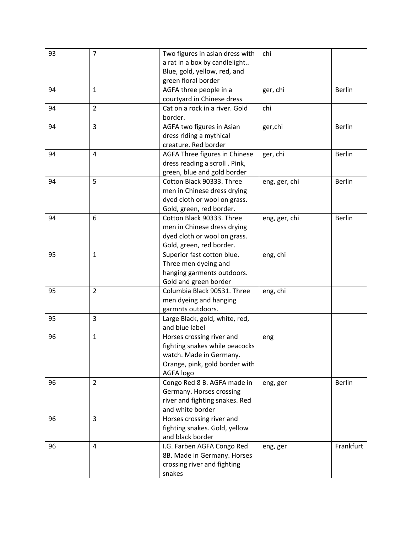| 93 | $\overline{7}$ | Two figures in asian dress with | chi           |               |
|----|----------------|---------------------------------|---------------|---------------|
|    |                | a rat in a box by candlelight   |               |               |
|    |                | Blue, gold, yellow, red, and    |               |               |
|    |                | green floral border             |               |               |
| 94 | $\mathbf{1}$   | AGFA three people in a          | ger, chi      | <b>Berlin</b> |
|    |                | courtyard in Chinese dress      |               |               |
| 94 | $\overline{2}$ | Cat on a rock in a river. Gold  | chi           |               |
|    |                | border.                         |               |               |
| 94 | 3              | AGFA two figures in Asian       | ger, chi      | Berlin        |
|    |                | dress riding a mythical         |               |               |
|    |                | creature. Red border            |               |               |
| 94 | 4              | AGFA Three figures in Chinese   | ger, chi      | <b>Berlin</b> |
|    |                | dress reading a scroll . Pink,  |               |               |
|    |                | green, blue and gold border     |               |               |
| 94 | 5              | Cotton Black 90333. Three       | eng, ger, chi | <b>Berlin</b> |
|    |                | men in Chinese dress drying     |               |               |
|    |                | dyed cloth or wool on grass.    |               |               |
|    |                | Gold, green, red border.        |               |               |
| 94 | 6              | Cotton Black 90333. Three       | eng, ger, chi | <b>Berlin</b> |
|    |                | men in Chinese dress drying     |               |               |
|    |                | dyed cloth or wool on grass.    |               |               |
|    |                | Gold, green, red border.        |               |               |
| 95 | $\mathbf{1}$   | Superior fast cotton blue.      | eng, chi      |               |
|    |                | Three men dyeing and            |               |               |
|    |                | hanging garments outdoors.      |               |               |
|    |                | Gold and green border           |               |               |
| 95 | $\overline{2}$ | Columbia Black 90531. Three     | eng, chi      |               |
|    |                | men dyeing and hanging          |               |               |
|    |                | garmnts outdoors.               |               |               |
| 95 | 3              | Large Black, gold, white, red,  |               |               |
|    |                | and blue label                  |               |               |
| 96 | $\mathbf{1}$   | Horses crossing river and       | eng           |               |
|    |                | fighting snakes while peacocks  |               |               |
|    |                | watch. Made in Germany.         |               |               |
|    |                | Orange, pink, gold border with  |               |               |
|    |                | AGFA logo                       |               |               |
| 96 | $\overline{2}$ | Congo Red 8 B. AGFA made in     | eng, ger      | <b>Berlin</b> |
|    |                | Germany. Horses crossing        |               |               |
|    |                | river and fighting snakes. Red  |               |               |
|    |                | and white border                |               |               |
| 96 | 3              | Horses crossing river and       |               |               |
|    |                | fighting snakes. Gold, yellow   |               |               |
|    |                | and black border                |               |               |
| 96 | 4              | I.G. Farben AGFA Congo Red      | eng, ger      | Frankfurt     |
|    |                | 8B. Made in Germany. Horses     |               |               |
|    |                | crossing river and fighting     |               |               |
|    |                | snakes                          |               |               |